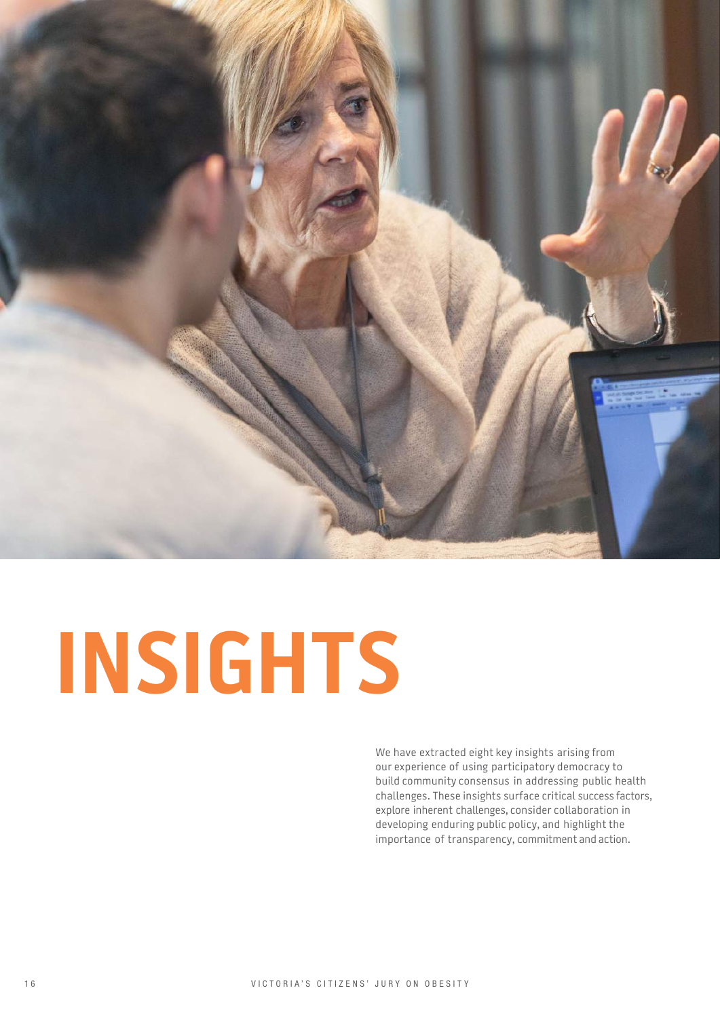

## **INSIGHTS**

We have extracted eight key insights arising from our experience of using participatory democracy to build community consensus in addressing public health challenges. These insights surface critical success factors, explore inherent challenges, consider collaboration in developing enduring public policy, and highlight the importance of transparency, commitment and action.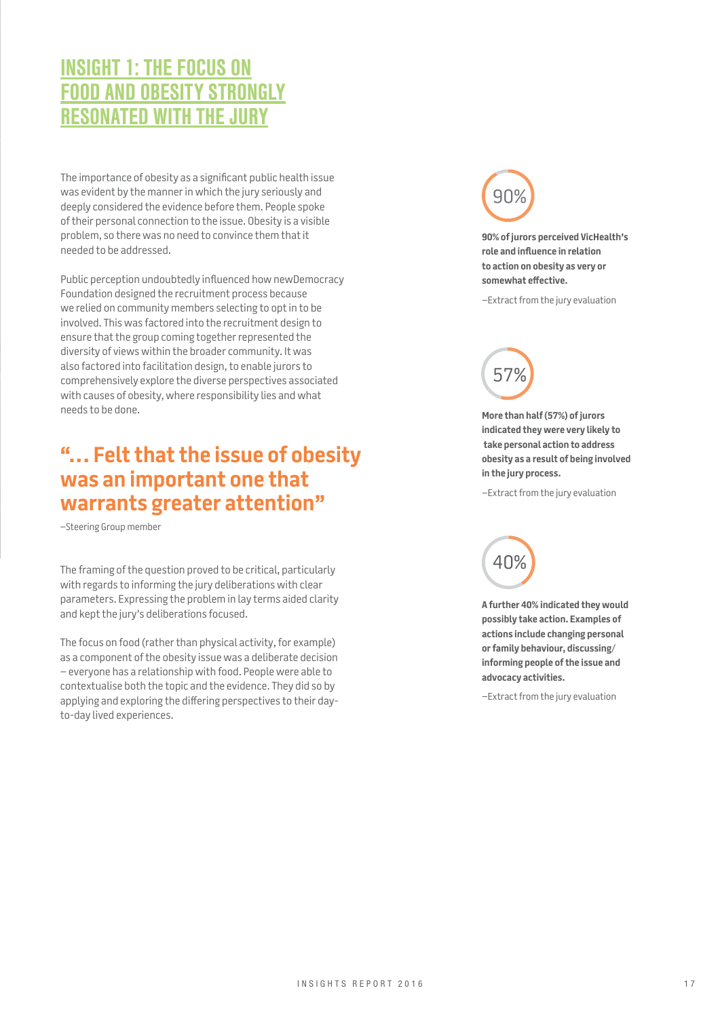## INSIGHT 1: THE FOCUS ON FOOD AND OBESITY STRONGLY RESONATED WITH THE JURY

The importance of obesity as a significant public health issue was evident by the manner in which the jury seriously and deeply considered the evidence before them. People spoke of their personal connection to the issue. Obesity is a visible problem, so there was no need to convince them that it needed to be addressed.

Public perception undoubtedly influenced how newDemocracy Foundation designed the recruitment process because we relied on community members selecting to opt in to be involved. This was factored into the recruitment design to ensure that the group coming together represented the diversity of views within the broader community. It was also factored into facilitation design, to enable jurors to comprehensively explore the diverse perspectives associated with causes of obesity, where responsibility lies and what needs to be done.

## **"… Felt that the issue of obesity was an important one that warrants greater attention"**

–Steering Group member

The framing of the question proved to be critical, particularly with regards to informing the jury deliberations with clear parameters. Expressing the problem in lay terms aided clarity and kept the jury's deliberations focused.

The focus on food (rather than physical activity, for example) as a component of the obesity issue was a deliberate decision – everyone has a relationship with food. People were able to contextualise both the topic and the evidence. They did so by applying and exploring the differing perspectives to their dayto-day lived experiences.

## 90%

**90% of jurors perceived VicHealth's role and influence in relation to action on obesity as very or somewhat effective.**

–Extract from the jury evaluation



**More than half (57%) of jurors indicated they were very likely to take personal action to address obesity as a result of being involved in the jury process.**

–Extract from the jury evaluation



**A further 40% indicated they would possibly take action. Examples of actions include changing personal or family behaviour, discussing/ informing people of the issue and advocacy activities.**

–Extract from the jury evaluation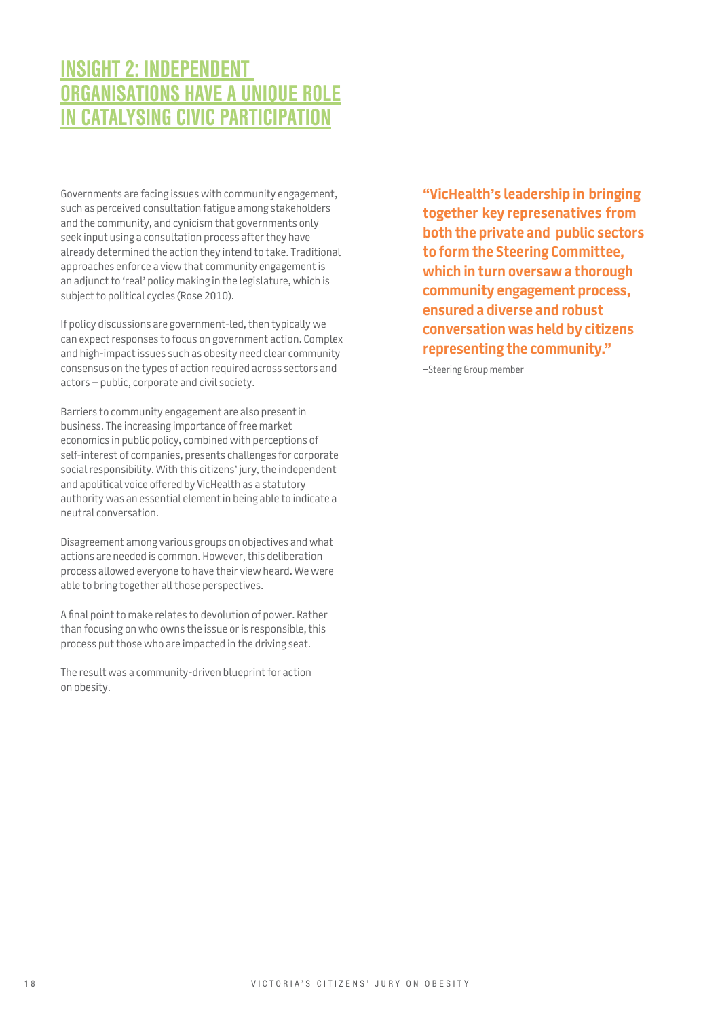## INSIGHT 2: INDEPENDENT ORGANISATIONS HAVE A UNIQUE ROLE IN CATALYSING CIVIC PARTICIPATION

Governments are facing issues with community engagement, such as perceived consultation fatigue among stakeholders and the community, and cynicism that governments only seek input using a consultation process after they have already determined the action they intend to take. Traditional approaches enforce a view that community engagement is an adjunct to 'real' policy making in the legislature, which is subject to political cycles (Rose 2010).

If policy discussions are government-led, then typically we can expect responses to focus on government action. Complex and high-impact issues such as obesity need clear community consensus on the types of action required across sectors and actors – public, corporate and civil society.

Barriers to community engagement are also present in business. The increasing importance of free market economics in public policy, combined with perceptions of self-interest of companies, presents challenges for corporate social responsibility. With this citizens' jury, the independent and apolitical voice offered by VicHealth as a statutory authority was an essential element in being able to indicate a neutral conversation.

Disagreement among various groups on objectives and what actions are needed is common. However, this deliberation process allowed everyone to have their view heard. We were able to bring together all those perspectives.

A final point to make relates to devolution of power. Rather than focusing on who owns the issue or is responsible, this process put those who are impacted in the driving seat.

The result was a community-driven blueprint for action on obesity.

**"VicHealth's leadership in bringing together key represenatives from both the private and public sectors to form the Steering Committee, which in turn oversaw a thorough community engagement process, ensured a diverse and robust conversation was held by citizens representing the community."**

–Steering Group member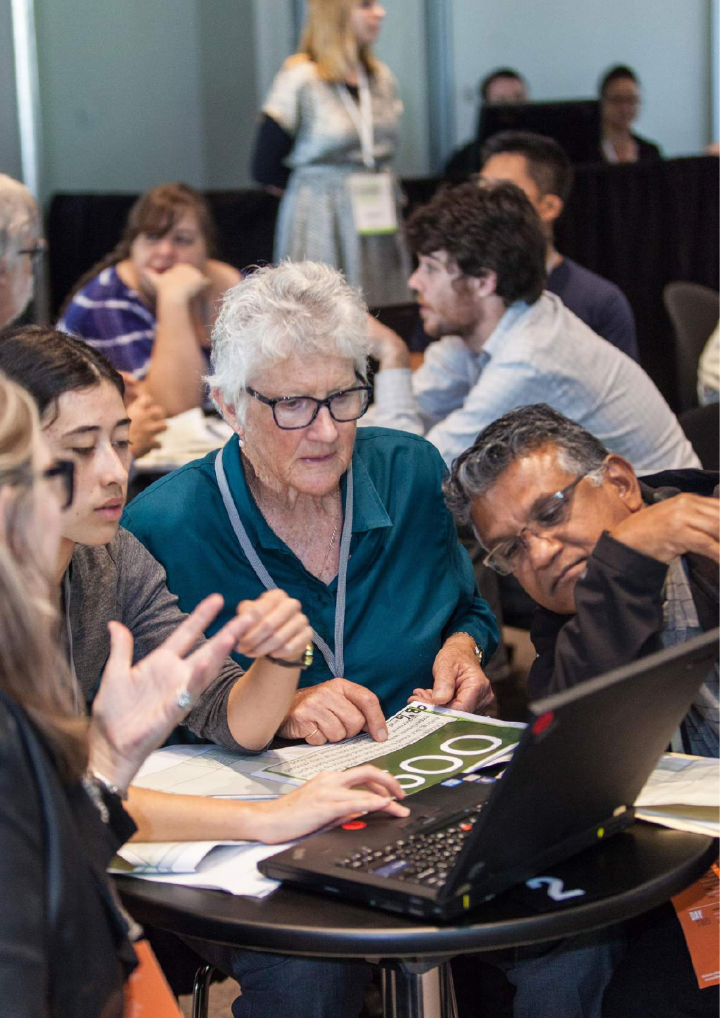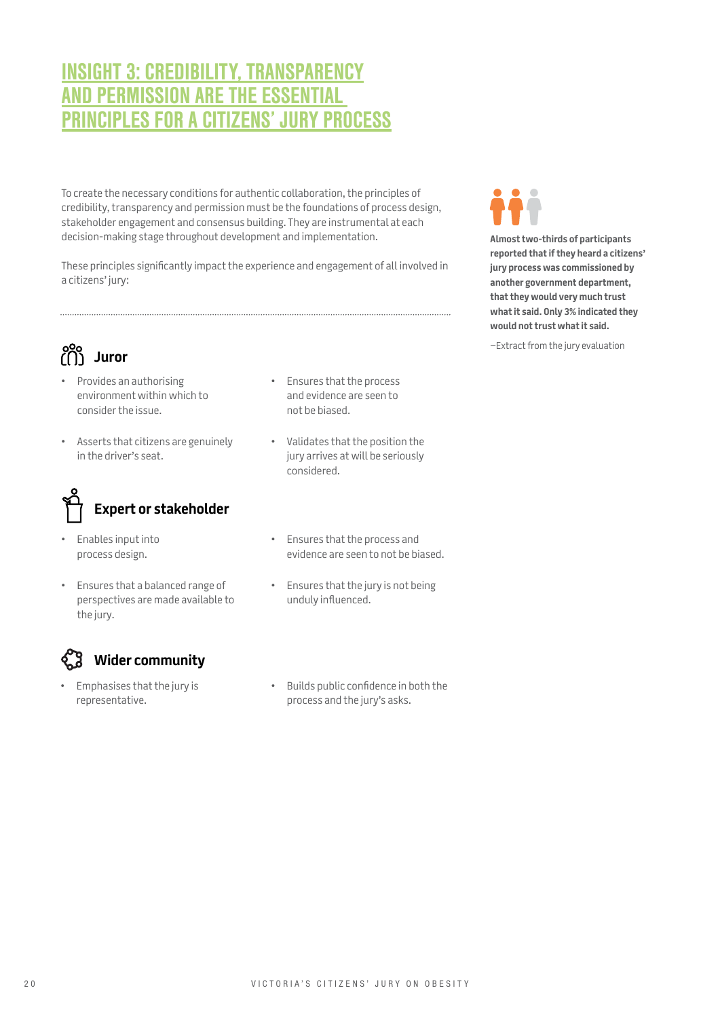## INSIGHT 3: CREDIBILITY, TRANSPARENCY AND PERMISSION ARE THE ESSENTIAL PRINCIPLES FOR A CITIZENS' JURY PROCESS

To create the necessary conditions for authentic collaboration, the principles of credibility, transparency and permission must be the foundations of process design, stakeholder engagement and consensus building. They are instrumental at each decision-making stage throughout development and implementation.

These principles significantly impact the experience and engagement of all involved in a citizens' jury:

**Almost two-thirds of participants reported that if they heard a citizens' jury process was commissioned by another government department, that they would very much trust what it said. Only 3% indicated they would not trust what it said.**

–Extract from the jury evaluation



- Provides an authorising environment within which to consider the issue.
- Asserts that citizens are genuinely in the driver's seat.



- Enables input into process design.
- Ensures that a balanced range of perspectives are made available to the jury.



• Emphasises that the jury is representative.

• Ensures that the process and evidence are seen to not be biased.

• Ensures that the process and evidence are seen to

• Validates that the position the jury arrives at will be seriously

not be biased.

considered.

- Ensures that the jury is not being unduly influenced.
- Builds public confidence in both the process and the jury's asks.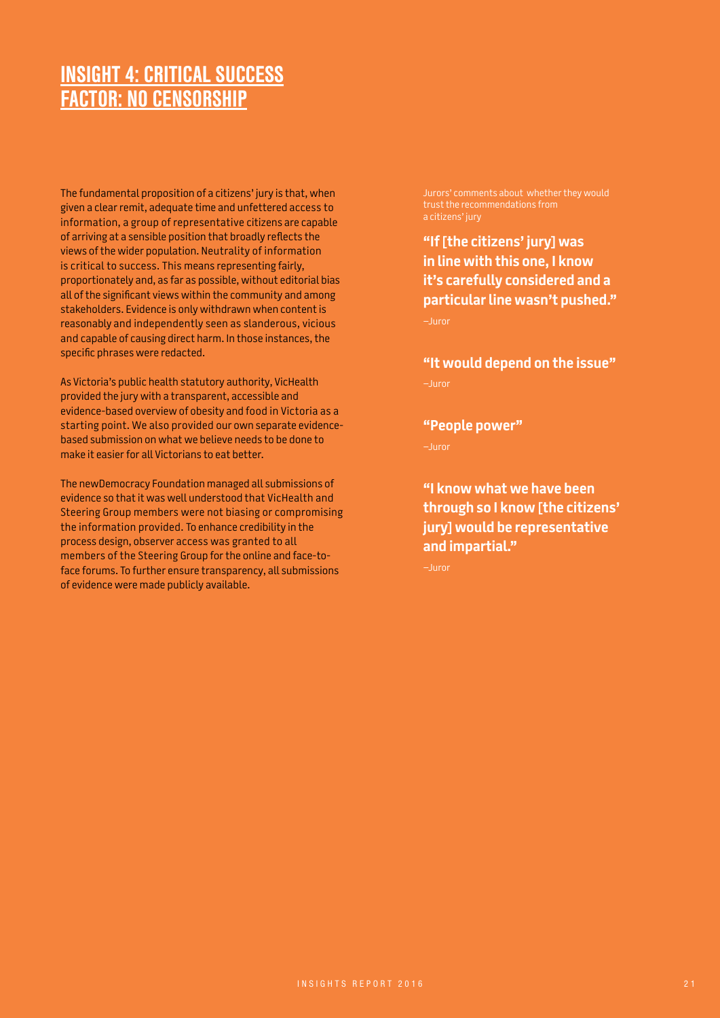## INSIGHT 4: CRITICAL SUCCESS FACTOR: NO CENSORSHIP

The fundamental proposition of a citizens' jury is that, when given a clear remit, adequate time and unfettered access to information, a group of representative citizens are capable of arriving at a sensible position that broadly reflects the views of the wider population. Neutrality of information is critical to success. This means representing fairly, proportionately and, as far as possible, without editorial bias all of the significant views within the community and among stakeholders. Evidence is only withdrawn when content is reasonably and independently seen as slanderous, vicious and capable of causing direct harm. In those instances, the specific phrases were redacted.

As Victoria's public health statutory authority, VicHealth provided the jury with a transparent, accessible and evidence-based overview of obesity and food in Victoria as a starting point. We also provided our own separate evidencebased submission on what we believe needs to be done to make it easier for all Victorians to eat better.

The newDemocracy Foundation managed all submissions of evidence so that it was well understood that VicHealth and Steering Group members were not biasing or compromising the information provided. To enhance credibility in the process design, observer access was granted to all members of the Steering Group for the online and face-toface forums. To further ensure transparency, all submissions of evidence were made publicly available.

Jurors' comments about whether they would

**"If [the citizens' jury] was in line with this one, I know it's carefully considered and a particular line wasn't pushed."** –Juror

**"It would depend on the issue"** –Juror

**"People power"** –Juror

**"I know what we have been through so I know [the citizens' jury] would be representative and impartial."**

–Juror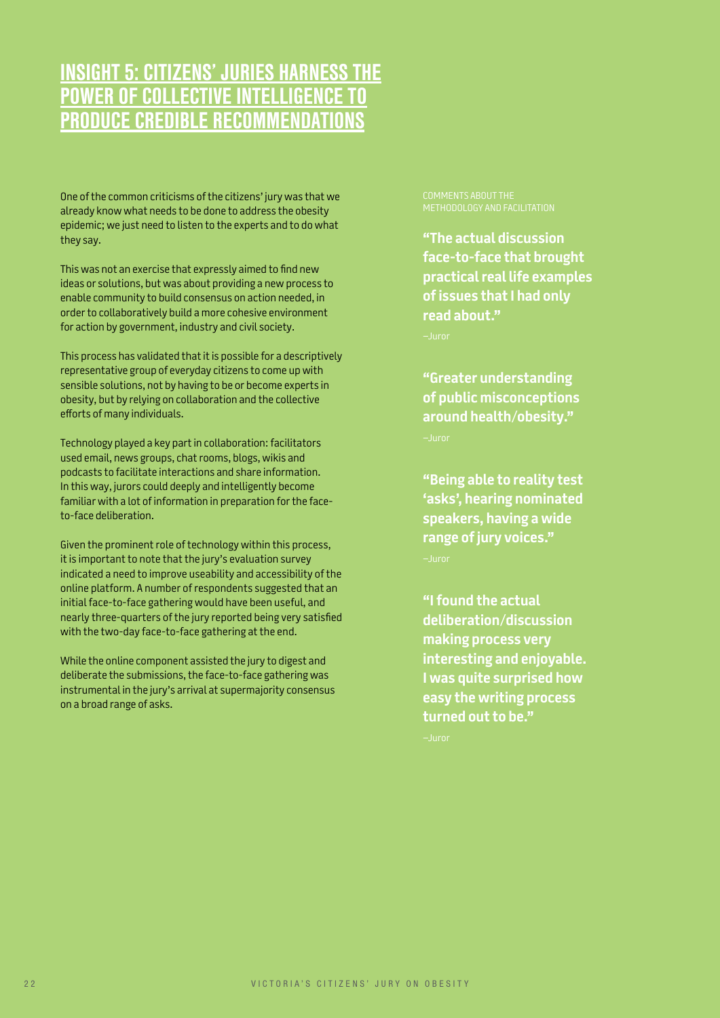## INSIGHT 5: CITIZENS' JURIES HARNESS THE POWER OF COLLECTIVE INTELLIGENCE TO PRODUCE CREDIBLE RECOMMENDATIONS

One of the common criticisms of the citizens' jury was that we already know what needs to be done to address the obesity epidemic; we just need to listen to the experts and to do what they say.

This was not an exercise that expressly aimed to find new ideas or solutions, but was about providing a new process to enable community to build consensus on action needed, in order to collaboratively build a more cohesive environment for action by government, industry and civil society.

This process has validated that it is possible for a descriptively representative group of everyday citizens to come up with sensible solutions, not by having to be or become experts in obesity, but by relying on collaboration and the collective efforts of many individuals.

Technology played a key part in collaboration: facilitators used email, news groups, chat rooms, blogs, wikis and podcasts to facilitate interactions and share information. In this way, jurors could deeply and intelligently become familiar with a lot of information in preparation for the faceto-face deliberation.

Given the prominent role of technology within this process, it is important to note that the jury's evaluation survey indicated a need to improve useability and accessibility of the online platform. A number of respondents suggested that an initial face-to-face gathering would have been useful, and nearly three-quarters of the jury reported being very satisfied with the two-day face-to-face gathering at the end.

While the online component assisted the jury to digest and deliberate the submissions, the face-to-face gathering was instrumental in the jury's arrival at supermajority consensus on a broad range of asks.

METHODOLOGY AND FACILITATION

**"The actual discussion face-to-face that brought practical real life examples of issues that I had only read about."**

**"Greater understanding of public misconceptions around health/obesity."**

**"Being able to reality test 'asks', hearing nominated speakers, having a wide range of jury voices."**

**"I found the actual deliberation/discussion making process very interesting and enjoyable. I was quite surprised how easy the writing process turned out to be."**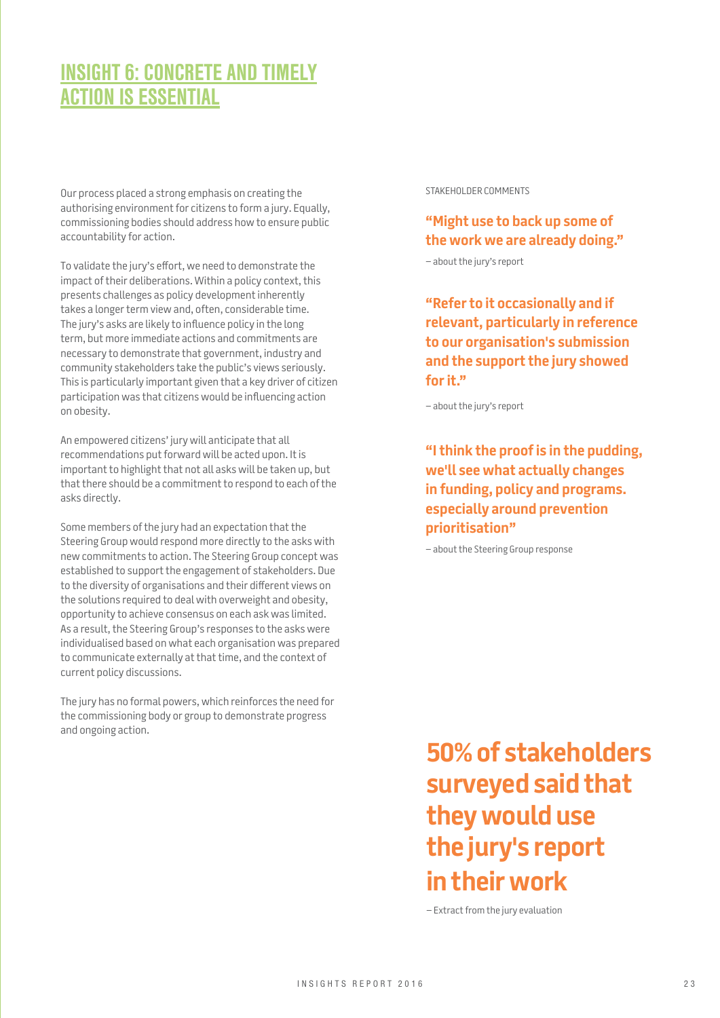## INSIGHT 6: CONCRETE AND TIMELY ACTION IS ESSENTIAL

Our process placed a strong emphasis on creating the authorising environment for citizens to form a jury. Equally, commissioning bodies should address how to ensure public accountability for action.

To validate the jury's effort, we need to demonstrate the impact of their deliberations. Within a policy context, this presents challenges as policy development inherently takes a longer term view and, often, considerable time. The jury's asks are likely to influence policy in the long term, but more immediate actions and commitments are necessary to demonstrate that government, industry and community stakeholders take the public's views seriously. This is particularly important given that a key driver of citizen participation was that citizens would be influencing action on obesity.

An empowered citizens' jury will anticipate that all recommendations put forward will be acted upon. It is important to highlight that not all asks will be taken up, but that there should be a commitment to respond to each of the asks directly.

Some members of the jury had an expectation that the Steering Group would respond more directly to the asks with new commitments to action. The Steering Group concept was established to support the engagement of stakeholders. Due to the diversity of organisations and their different views on the solutions required to deal with overweight and obesity, opportunity to achieve consensus on each ask was limited. As a result, the Steering Group's responses to the asks were individualised based on what each organisation was prepared to communicate externally at that time, and the context of current policy discussions.

The jury has no formal powers, which reinforces the need for the commissioning body or group to demonstrate progress and ongoing action.

STAKEHOLDER COMMENTS

**"Might use to back up some of the work we are already doing."**

– about the jury's report

**"Refer to it occasionally and if relevant, particularly in reference to our organisation's submission and the support the jury showed for it."**

– about the jury's report

**"I think the proof is in the pudding, we'll see what actually changes in funding, policy and programs. especially around prevention prioritisation"**

– about the Steering Group response

**50% of stakeholders surveyed said that they would use the jury's report in their work**

– Extract from the jury evaluation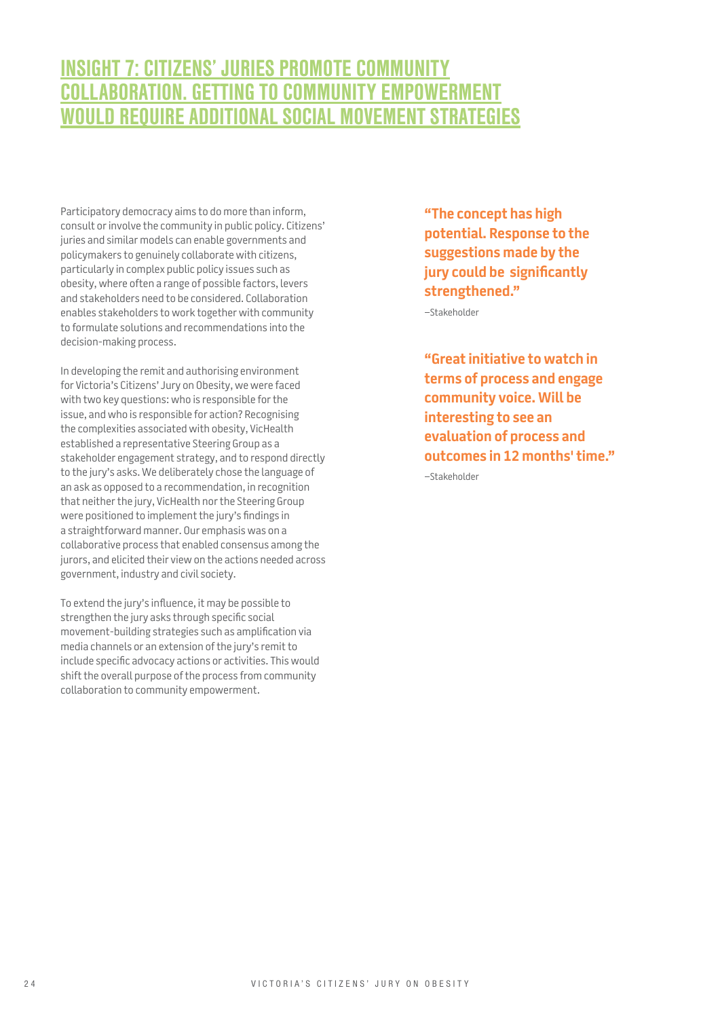## INSIGHT 7: CITIZENS' JURIES PROMOTE COMMUNITY COLLABORATION. GETTING TO COMMUNITY EMPOWERMENT WOULD REQUIRE ADDITIONAL SOCIAL MOVEMENT STRATEGIES

Participatory democracy aims to do more than inform, consult or involve the community in public policy. Citizens' juries and similar models can enable governments and policymakers to genuinely collaborate with citizens, particularly in complex public policy issues such as obesity, where often a range of possible factors, levers and stakeholders need to be considered. Collaboration enables stakeholders to work together with community to formulate solutions and recommendations into the decision-making process.

In developing the remit and authorising environment for Victoria's Citizens' Jury on Obesity, we were faced with two key questions: who is responsible for the issue, and who is responsible for action? Recognising the complexities associated with obesity, VicHealth established a representative Steering Group as a stakeholder engagement strategy, and to respond directly to the jury's asks. We deliberately chose the language of an ask as opposed to a recommendation, in recognition that neither the jury, VicHealth nor the Steering Group were positioned to implement the jury's findings in a straightforward manner. Our emphasis was on a collaborative process that enabled consensus among the jurors, and elicited their view on the actions needed across government, industry and civil society.

To extend the jury's influence, it may be possible to strengthen the jury asks through specific social movement-building strategies such as amplification via media channels or an extension of the jury's remit to include specific advocacy actions or activities. This would shift the overall purpose of the process from community collaboration to community empowerment.

**"The concept has high potential. Response to the suggestions made by the jury could be significantly strengthened."**

–Stakeholder

**"Great initiative to watch in terms of process and engage community voice. Will be interesting to see an evaluation of process and outcomes in 12 months' time."**

–Stakeholder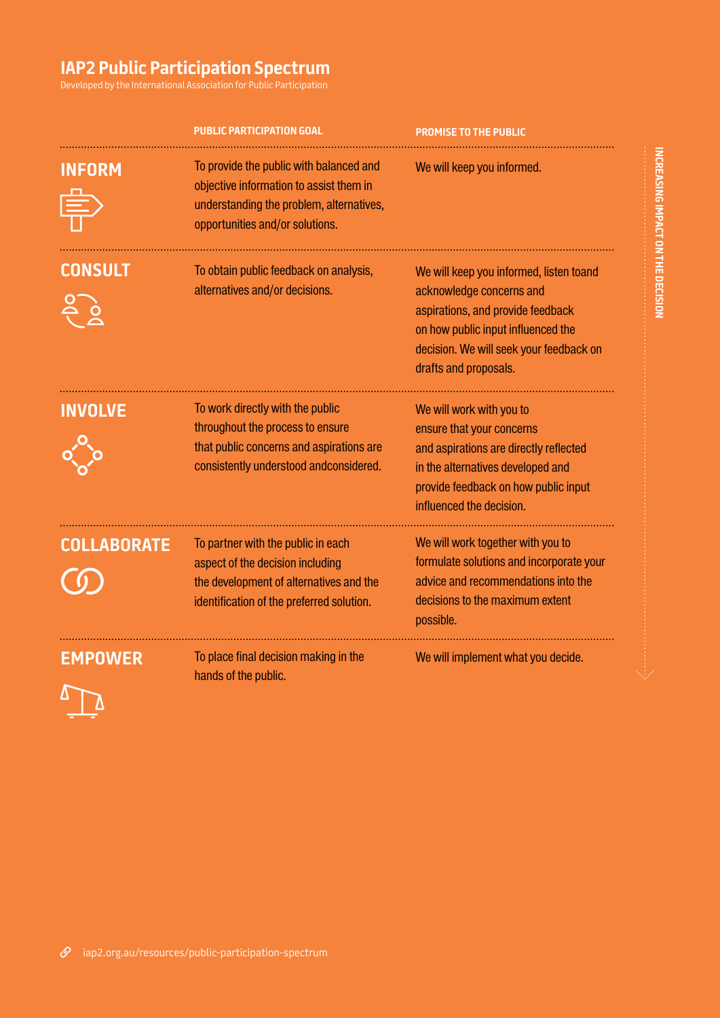## **IAP2 Public Participation Spectrum**

Developed by the International Association for Public Participation

|                    | <b>PUBLIC PARTICIPATION GOAL</b>                                                                                                                                  | <b>PROMISE TO THE PUBLIC</b>                                                                                                                                                                                       |
|--------------------|-------------------------------------------------------------------------------------------------------------------------------------------------------------------|--------------------------------------------------------------------------------------------------------------------------------------------------------------------------------------------------------------------|
| <b>INFORM</b>      | To provide the public with balanced and<br>objective information to assist them in<br>understanding the problem, alternatives,<br>opportunities and/or solutions. | We will keep you informed.                                                                                                                                                                                         |
| <b>CONSULT</b>     | To obtain public feedback on analysis,<br>alternatives and/or decisions.                                                                                          | We will keep you informed, listen toand<br>acknowledge concerns and<br>aspirations, and provide feedback<br>on how public input influenced the<br>decision. We will seek your feedback on<br>drafts and proposals. |
| <b>INVOLVE</b>     | To work directly with the public<br>throughout the process to ensure<br>that public concerns and aspirations are<br>consistently understood andconsidered.        | We will work with you to<br>ensure that your concerns<br>and aspirations are directly reflected<br>in the alternatives developed and<br>provide feedback on how public input<br>influenced the decision.           |
| <b>COLLABORATE</b> | To partner with the public in each<br>aspect of the decision including<br>the development of alternatives and the<br>identification of the preferred solution.    | We will work together with you to<br>formulate solutions and incorporate your<br>advice and recommendations into the<br>decisions to the maximum extent<br>possible.                                               |
| EMPOWER            | To place final decision making in the<br>hands of the public.                                                                                                     | We will implement what you decide.                                                                                                                                                                                 |

 $\sum$ 

 $\Delta$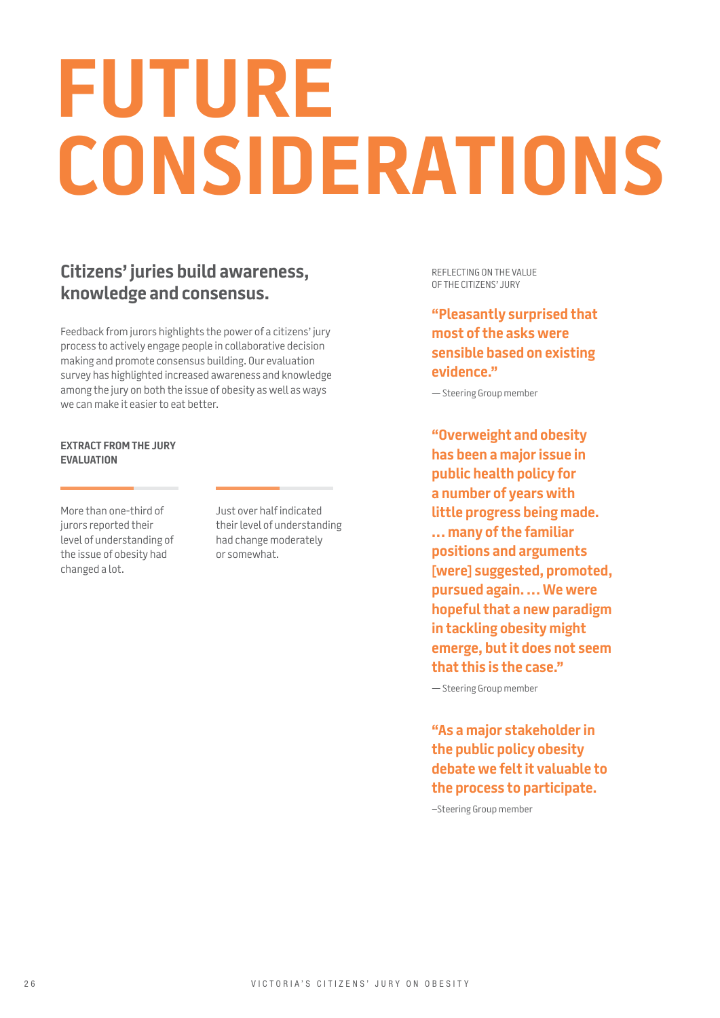## **FUTURE CONSIDERATIONS**

## **Citizens' juries build awareness, knowledge and consensus.**

Feedback from jurors highlights the power of a citizens' jury process to actively engage people in collaborative decision making and promote consensus building. Our evaluation survey has highlighted increased awareness and knowledge among the jury on both the issue of obesity as well as ways we can make it easier to eat better.

#### **EXTRACT FROM THE JURY EVALUATION**

More than one-third of jurors reported their level of understanding of the issue of obesity had changed a lot.

Just over half indicated their level of understanding had change moderately or somewhat.

REFLECTING ON THE VALUE OF THE CITIZENS' JURY

**"Pleasantly surprised that most of the asks were sensible based on existing evidence."**

— Steering Group member

**"Overweight and obesity has been a major issue in public health policy for a number of years with little progress being made. … many of the familiar positions and arguments [were] suggested, promoted, pursued again. … We were hopeful that a new paradigm in tackling obesity might emerge, but it does not seem that this is the case."**

— Steering Group member

**"As a major stakeholder in the public policy obesity debate we felt it valuable to the process to participate.**

–Steering Group member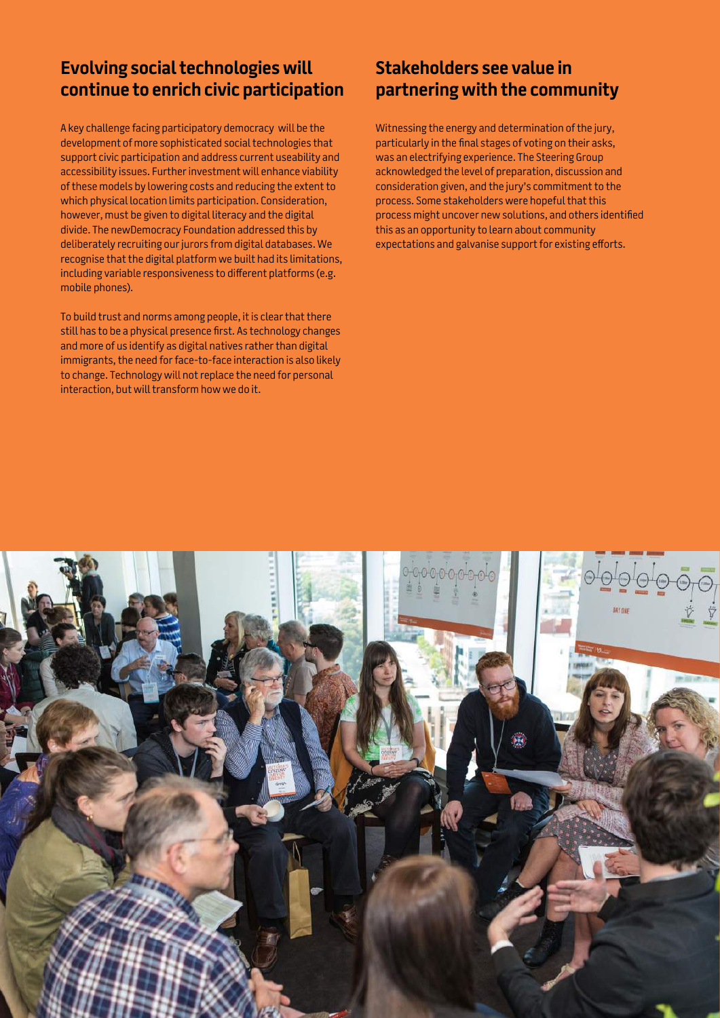## **Evolving social technologies will continue to enrich civic participation**

A key challenge facing participatory democracy will be the development of more sophisticated social technologies that support civic participation and address current useability and accessibility issues. Further investment will enhance viability of these models by lowering costs and reducing the extent to which physical location limits participation. Consideration, however, must be given to digital literacy and the digital divide. The newDemocracy Foundation addressed this by deliberately recruiting our jurors from digital databases. We recognise that the digital platform we built had its limitations, including variable responsiveness to different platforms (e.g. mobile phones).

To build trust and norms among people, it is clear that there still has to be a physical presence first. As technology changes and more of us identify as digital natives rather than digital immigrants, the need for face-to-face interaction is also likely to change. Technology will not replace the need for personal interaction, but will transform how we do it.

## **Stakeholders see value in partnering with the community**

Witnessing the energy and determination of the jury, particularly in the final stages of voting on their asks, was an electrifying experience. The Steering Group acknowledged the level of preparation, discussion and consideration given, and the jury's commitment to the process. Some stakeholders were hopeful that this process might uncover new solutions, and others identified this as an opportunity to learn about community expectations and galvanise support for existing efforts.

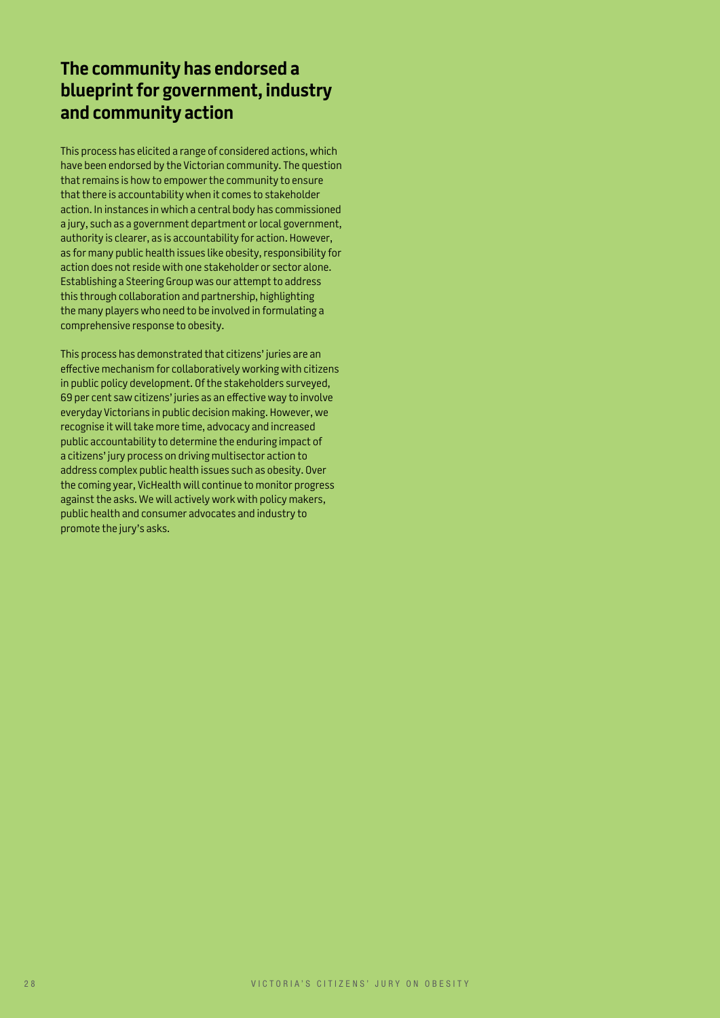## **The community has endorsed a blueprint for government, industry and community action**

This process has elicited a range of considered actions, which have been endorsed by the Victorian community. The question that remains is how to empower the community to ensure that there is accountability when it comes to stakeholder action. In instances in which a central body has commissioned a jury, such as a government department or local government, authority is clearer, as is accountability for action. However, as for many public health issues like obesity, responsibility for action does not reside with one stakeholder or sector alone. Establishing a Steering Group was our attempt to address this through collaboration and partnership, highlighting the many players who need to be involved in formulating a comprehensive response to obesity.

This process has demonstrated that citizens' juries are an effective mechanism for collaboratively working with citizens in public policy development. Of the stakeholders surveyed, 69 per cent saw citizens' juries as an effective way to involve everyday Victorians in public decision making. However, we recognise it will take more time, advocacy and increased public accountability to determine the enduring impact of a citizens' jury process on driving multisector action to address complex public health issues such as obesity. Over the coming year, VicHealth will continue to monitor progress against the asks. We will actively work with policy makers, public health and consumer advocates and industry to promote the jury's asks.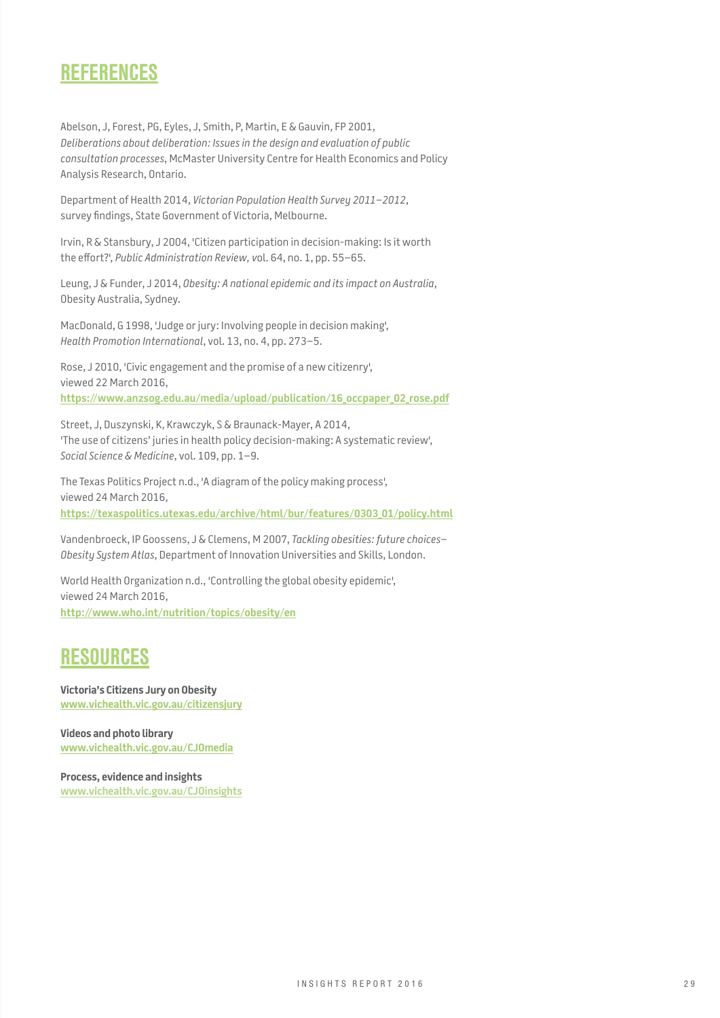## REFERENCES

Abelson, J, Forest, PG, Eyles, J, Smith, P, Martin, E & Gauvin, FP 2001, *Deliberations about deliberation: Issues in the design and evaluation of public consultation processes*, McMaster University Centre for Health Economics and Policy Analysis Research, Ontario.

Department of Health 2014, *Victorian Population Health Survey 2011–2012*, survey findings, State Government of Victoria, Melbourne.

Irvin, R & Stansbury, J 2004, 'Citizen participation in decision-making: Is it worth the effort?', *Public Administration Review, v*ol. 64, no. 1, pp. 55–65.

Leung, J & Funder, J 2014, *Obesity: A national epidemic and its impact on Australia*, Obesity Australia, Sydney.

MacDonald, G 1998, 'Judge or jury: Involving people in decision making', *Health Promotion International*, vol. 13, no. 4, pp. 273–5.

Rose, J 2010, 'Civic engagement and the promise of a new citizenry', viewed 22 March 2016, **https://www.anzsog.edu.au/media/upload/publication/16\_occpaper\_02\_rose.pdf**

Street, J, Duszynski, K, Krawczyk, S & Braunack-Mayer, A 2014, 'The use of citizens' juries in health policy decision-making: A systematic review', *Social Science & Medicine*, vol. 109, pp. 1–9.

The Texas Politics Project n.d., 'A diagram of the policy making process', viewed 24 March 2016, **https://texaspolitics.utexas.edu/archive/html/bur/features/0303\_01/policy.html**

Vandenbroeck, IP Goossens, J & Clemens, M 2007, *Tackling obesities: future choices– Obesity System Atlas*, Department of Innovation Universities and Skills, London.

World Health Organization n.d., 'Controlling the global obesity epidemic', viewed 24 March 2016, **http://www.who.int/nutrition/topics/obesity/en**

## RESOURCES

**Victoria's Citizens Jury on Obesity www.vichealth.vic.gov.au/citizensjury**

**Videos and photo library www.vichealth.vic.gov.au/CJOmedia**

**Process, evidence and insights www.vichealth.vic.gov.au/CJOinsights**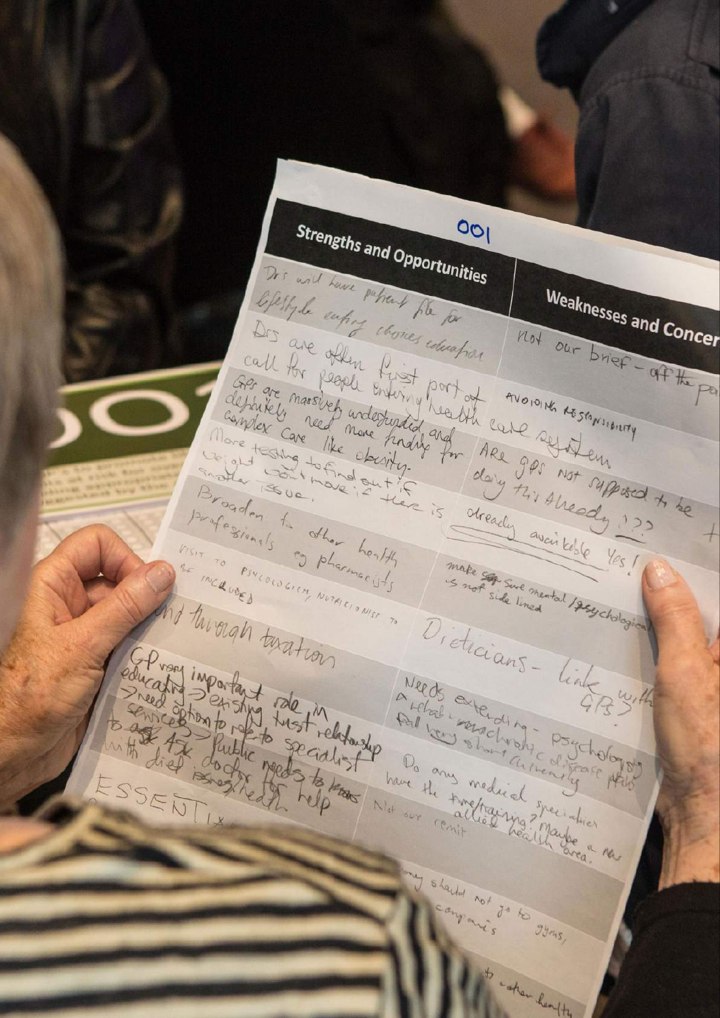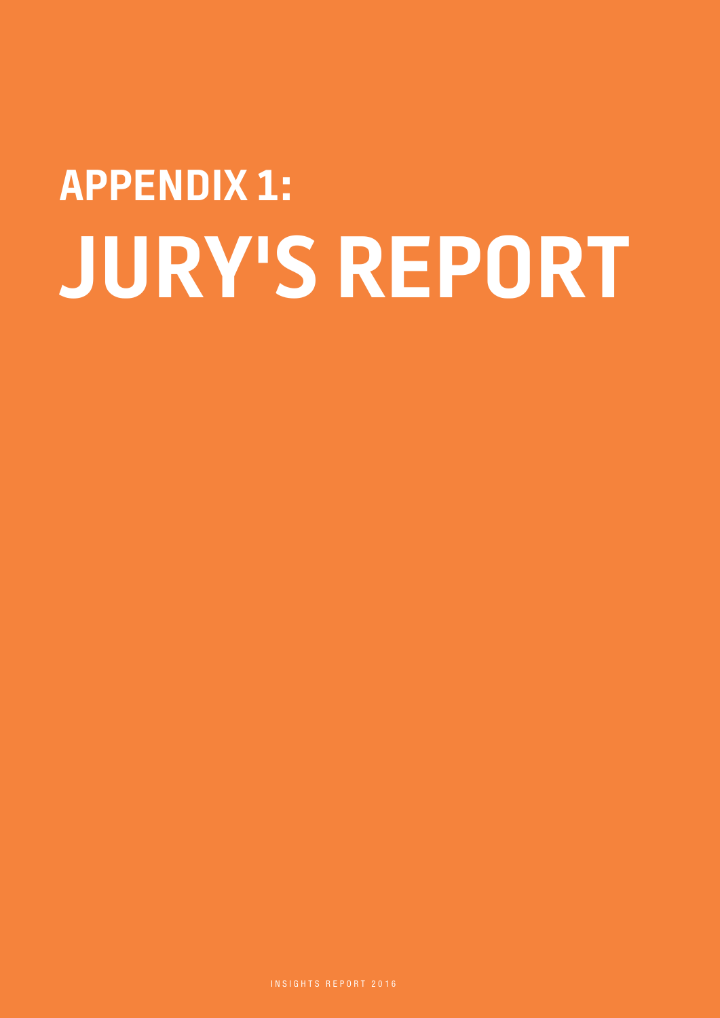## **APPENDIX 1: JURY'S REPORT**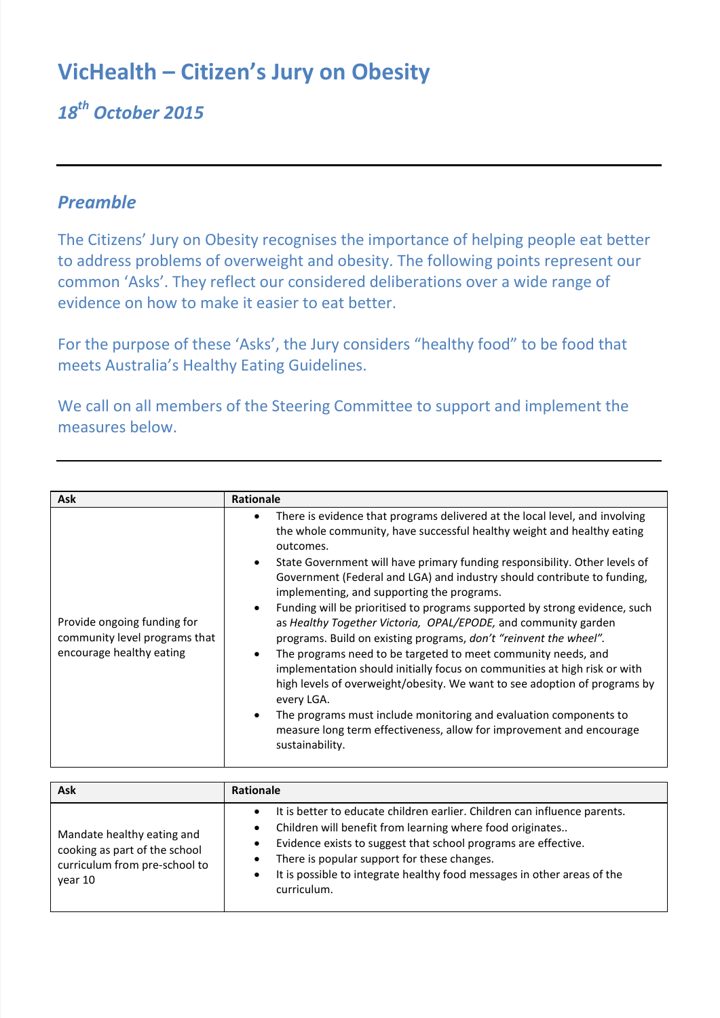## **VicHealth – Citizen's Jury on Obesity**

## *18th October 2015*

### *Preamble*

The Citizens' Jury on Obesity recognises the importance of helping people eat better to address problems of overweight and obesity. The following points represent our common 'Asks'. They reflect our considered deliberations over a wide range of evidence on how to make it easier to eat better.

For the purpose of these 'Asks', the Jury considers "healthy food" to be food that meets Australia's Healthy Eating Guidelines.

We call on all members of the Steering Committee to support and implement the measures below.

| Ask                                                                                      | <b>Rationale</b>                                                                                                                                                                                                                                                                                                                                                                                                                                                                                                                                                                                                                                                                                                                                                                                                                                                                                                                                                                                                                  |
|------------------------------------------------------------------------------------------|-----------------------------------------------------------------------------------------------------------------------------------------------------------------------------------------------------------------------------------------------------------------------------------------------------------------------------------------------------------------------------------------------------------------------------------------------------------------------------------------------------------------------------------------------------------------------------------------------------------------------------------------------------------------------------------------------------------------------------------------------------------------------------------------------------------------------------------------------------------------------------------------------------------------------------------------------------------------------------------------------------------------------------------|
| Provide ongoing funding for<br>community level programs that<br>encourage healthy eating | There is evidence that programs delivered at the local level, and involving<br>$\bullet$<br>the whole community, have successful healthy weight and healthy eating<br>outcomes.<br>State Government will have primary funding responsibility. Other levels of<br>Government (Federal and LGA) and industry should contribute to funding,<br>implementing, and supporting the programs.<br>Funding will be prioritised to programs supported by strong evidence, such<br>$\bullet$<br>as Healthy Together Victoria, OPAL/EPODE, and community garden<br>programs. Build on existing programs, don't "reinvent the wheel".<br>The programs need to be targeted to meet community needs, and<br>implementation should initially focus on communities at high risk or with<br>high levels of overweight/obesity. We want to see adoption of programs by<br>every LGA.<br>The programs must include monitoring and evaluation components to<br>measure long term effectiveness, allow for improvement and encourage<br>sustainability. |

| <b>Ask</b>                                                                                              | <b>Rationale</b>                                                                                                                                                                                                                                                                                                                                                                                                   |  |
|---------------------------------------------------------------------------------------------------------|--------------------------------------------------------------------------------------------------------------------------------------------------------------------------------------------------------------------------------------------------------------------------------------------------------------------------------------------------------------------------------------------------------------------|--|
| Mandate healthy eating and<br>cooking as part of the school<br>curriculum from pre-school to<br>vear 10 | It is better to educate children earlier. Children can influence parents.<br>$\bullet$<br>Children will benefit from learning where food originates<br>$\bullet$<br>Evidence exists to suggest that school programs are effective.<br>$\bullet$<br>There is popular support for these changes.<br>$\bullet$<br>It is possible to integrate healthy food messages in other areas of the<br>$\bullet$<br>curriculum. |  |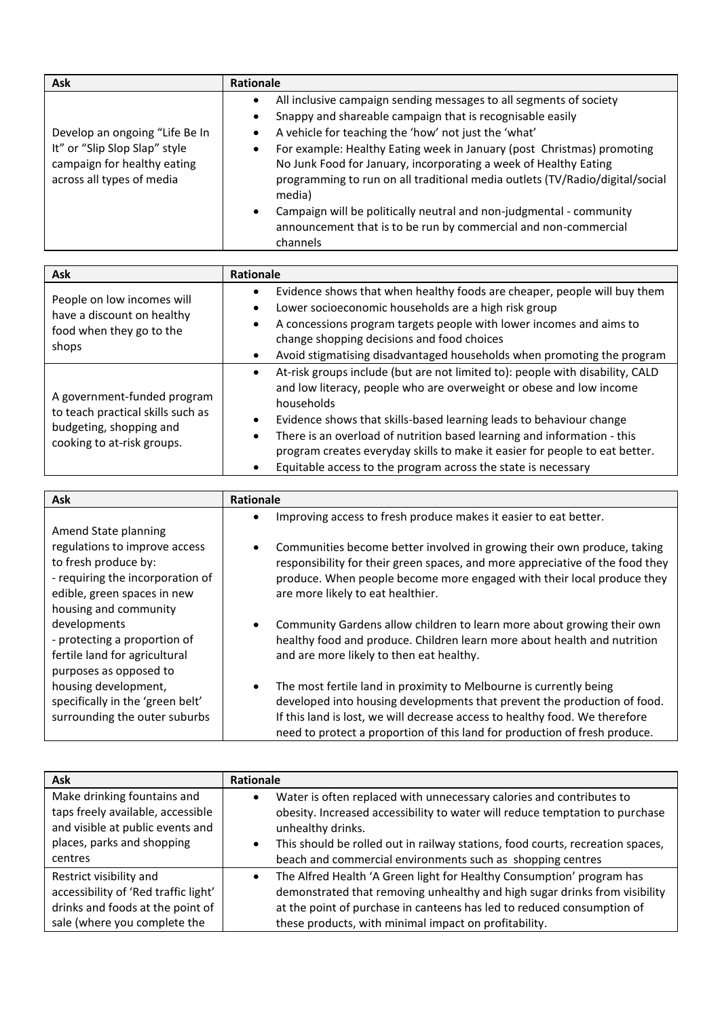| <b>Ask</b>                                                                                                                  | <b>Rationale</b>                                                                                                                                                                                                                                                                                                                                                                                                                                                                                                                                                                      |
|-----------------------------------------------------------------------------------------------------------------------------|---------------------------------------------------------------------------------------------------------------------------------------------------------------------------------------------------------------------------------------------------------------------------------------------------------------------------------------------------------------------------------------------------------------------------------------------------------------------------------------------------------------------------------------------------------------------------------------|
| Develop an ongoing "Life Be In<br>It" or "Slip Slop Slap" style<br>campaign for healthy eating<br>across all types of media | All inclusive campaign sending messages to all segments of society<br>Snappy and shareable campaign that is recognisable easily<br>A vehicle for teaching the 'how' not just the 'what'<br>For example: Healthy Eating week in January (post Christmas) promoting<br>No Junk Food for January, incorporating a week of Healthy Eating<br>programming to run on all traditional media outlets (TV/Radio/digital/social<br>media)<br>Campaign will be politically neutral and non-judgmental - community<br>announcement that is to be run by commercial and non-commercial<br>channels |

| <b>Ask</b>                                                                                                                | <b>Rationale</b>                                                                                                                                                                                                                                                                                                                                                                                                                                                     |
|---------------------------------------------------------------------------------------------------------------------------|----------------------------------------------------------------------------------------------------------------------------------------------------------------------------------------------------------------------------------------------------------------------------------------------------------------------------------------------------------------------------------------------------------------------------------------------------------------------|
| People on low incomes will<br>have a discount on healthy<br>food when they go to the<br>shops                             | Evidence shows that when healthy foods are cheaper, people will buy them<br>Lower socioeconomic households are a high risk group<br>A concessions program targets people with lower incomes and aims to<br>$\bullet$<br>change shopping decisions and food choices<br>Avoid stigmatising disadvantaged households when promoting the program                                                                                                                         |
| A government-funded program<br>to teach practical skills such as<br>budgeting, shopping and<br>cooking to at-risk groups. | At-risk groups include (but are not limited to): people with disability, CALD<br>and low literacy, people who are overweight or obese and low income<br>households<br>Evidence shows that skills-based learning leads to behaviour change<br>There is an overload of nutrition based learning and information - this<br>program creates everyday skills to make it easier for people to eat better.<br>Equitable access to the program across the state is necessary |

ı

| Ask                              | <b>Rationale</b>                                                                |
|----------------------------------|---------------------------------------------------------------------------------|
|                                  | Improving access to fresh produce makes it easier to eat better.                |
| Amend State planning             |                                                                                 |
| regulations to improve access    | Communities become better involved in growing their own produce, taking         |
| to fresh produce by:             | responsibility for their green spaces, and more appreciative of the food they   |
| - requiring the incorporation of | produce. When people become more engaged with their local produce they          |
| edible, green spaces in new      | are more likely to eat healthier.                                               |
| housing and community            |                                                                                 |
| developments                     | Community Gardens allow children to learn more about growing their own          |
| - protecting a proportion of     | healthy food and produce. Children learn more about health and nutrition        |
| fertile land for agricultural    | and are more likely to then eat healthy.                                        |
| purposes as opposed to           |                                                                                 |
| housing development,             | The most fertile land in proximity to Melbourne is currently being<br>$\bullet$ |
| specifically in the 'green belt' | developed into housing developments that prevent the production of food.        |
| surrounding the outer suburbs    | If this land is lost, we will decrease access to healthy food. We therefore     |
|                                  | need to protect a proportion of this land for production of fresh produce.      |

| <b>Ask</b>                           | <b>Rationale</b>                                                               |
|--------------------------------------|--------------------------------------------------------------------------------|
| Make drinking fountains and          | Water is often replaced with unnecessary calories and contributes to           |
| taps freely available, accessible    | obesity. Increased accessibility to water will reduce temptation to purchase   |
| and visible at public events and     | unhealthy drinks.                                                              |
| places, parks and shopping           | This should be rolled out in railway stations, food courts, recreation spaces, |
| centres                              | beach and commercial environments such as shopping centres                     |
| Restrict visibility and              | The Alfred Health 'A Green light for Healthy Consumption' program has          |
| accessibility of 'Red traffic light' | demonstrated that removing unhealthy and high sugar drinks from visibility     |
| drinks and foods at the point of     | at the point of purchase in canteens has led to reduced consumption of         |
| sale (where you complete the         | these products, with minimal impact on profitability.                          |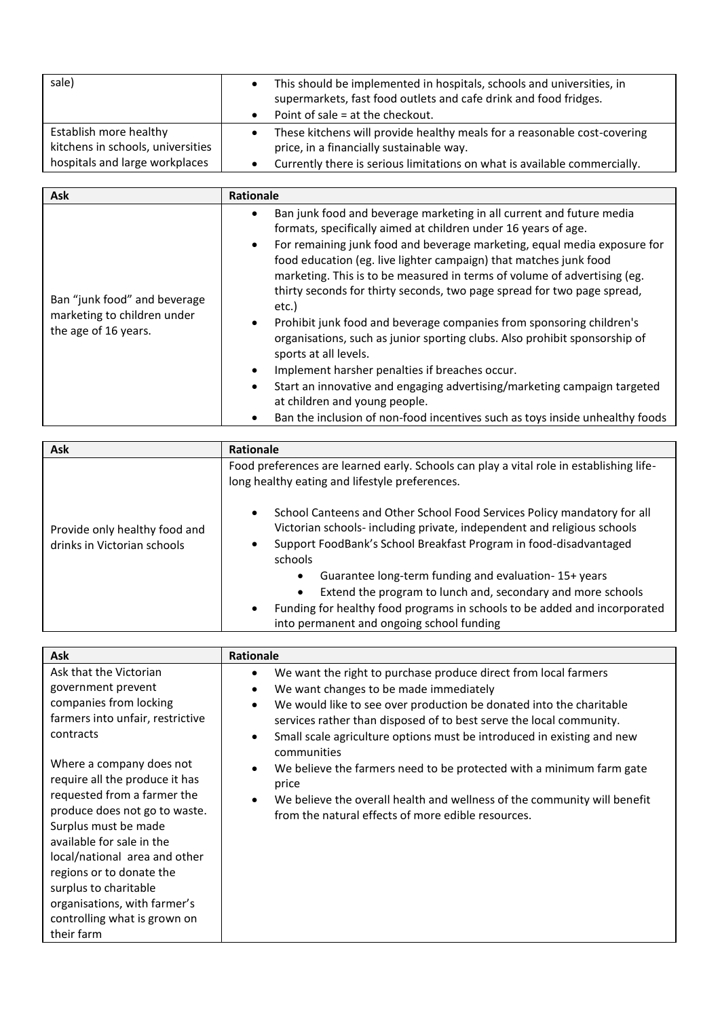| sale)                                                       | This should be implemented in hospitals, schools and universities, in<br>supermarkets, fast food outlets and cafe drink and food fridges.<br>Point of sale = at the checkout. |
|-------------------------------------------------------------|-------------------------------------------------------------------------------------------------------------------------------------------------------------------------------|
| Establish more healthy<br>kitchens in schools, universities | These kitchens will provide healthy meals for a reasonable cost-covering<br>price, in a financially sustainable way.                                                          |
| hospitals and large workplaces                              | Currently there is serious limitations on what is available commercially.                                                                                                     |

| <b>Ask</b>                                                                          | <b>Rationale</b>                                                                                                                                                                                                                                                                                                                                                                                                                                                                                                                                                                                                                                                                                                                                                                                                                                                                                                                          |
|-------------------------------------------------------------------------------------|-------------------------------------------------------------------------------------------------------------------------------------------------------------------------------------------------------------------------------------------------------------------------------------------------------------------------------------------------------------------------------------------------------------------------------------------------------------------------------------------------------------------------------------------------------------------------------------------------------------------------------------------------------------------------------------------------------------------------------------------------------------------------------------------------------------------------------------------------------------------------------------------------------------------------------------------|
| Ban "junk food" and beverage<br>marketing to children under<br>the age of 16 years. | Ban junk food and beverage marketing in all current and future media<br>formats, specifically aimed at children under 16 years of age.<br>For remaining junk food and beverage marketing, equal media exposure for<br>$\bullet$<br>food education (eg. live lighter campaign) that matches junk food<br>marketing. This is to be measured in terms of volume of advertising (eg.<br>thirty seconds for thirty seconds, two page spread for two page spread,<br>etc.)<br>Prohibit junk food and beverage companies from sponsoring children's<br>$\bullet$<br>organisations, such as junior sporting clubs. Also prohibit sponsorship of<br>sports at all levels.<br>Implement harsher penalties if breaches occur.<br>$\bullet$<br>Start an innovative and engaging advertising/marketing campaign targeted<br>$\bullet$<br>at children and young people.<br>Ban the inclusion of non-food incentives such as toys inside unhealthy foods |

| <b>Ask</b>                                                   | <b>Rationale</b>                                                                                                                                                                                                                   |
|--------------------------------------------------------------|------------------------------------------------------------------------------------------------------------------------------------------------------------------------------------------------------------------------------------|
|                                                              | Food preferences are learned early. Schools can play a vital role in establishing life-<br>long healthy eating and lifestyle preferences.                                                                                          |
| Provide only healthy food and<br>drinks in Victorian schools | School Canteens and Other School Food Services Policy mandatory for all<br>Victorian schools- including private, independent and religious schools<br>Support FoodBank's School Breakfast Program in food-disadvantaged<br>schools |
|                                                              | Guarantee long-term funding and evaluation-15+ years<br>$\bullet$<br>Extend the program to lunch and, secondary and more schools<br>$\bullet$                                                                                      |
|                                                              | Funding for healthy food programs in schools to be added and incorporated<br>into permanent and ongoing school funding                                                                                                             |

| Ask                                                                                                                                                                                                                                                                                                                                                                                                                                                                            | <b>Rationale</b>                                                                                                                                                                                                                                                                                                                                                                                                                                                                                                                                                                              |
|--------------------------------------------------------------------------------------------------------------------------------------------------------------------------------------------------------------------------------------------------------------------------------------------------------------------------------------------------------------------------------------------------------------------------------------------------------------------------------|-----------------------------------------------------------------------------------------------------------------------------------------------------------------------------------------------------------------------------------------------------------------------------------------------------------------------------------------------------------------------------------------------------------------------------------------------------------------------------------------------------------------------------------------------------------------------------------------------|
| Ask that the Victorian<br>government prevent<br>companies from locking<br>farmers into unfair, restrictive<br>contracts<br>Where a company does not<br>require all the produce it has<br>requested from a farmer the<br>produce does not go to waste.<br>Surplus must be made<br>available for sale in the<br>local/national area and other<br>regions or to donate the<br>surplus to charitable<br>organisations, with farmer's<br>controlling what is grown on<br>their farm | We want the right to purchase produce direct from local farmers<br>We want changes to be made immediately<br>We would like to see over production be donated into the charitable<br>$\bullet$<br>services rather than disposed of to best serve the local community.<br>Small scale agriculture options must be introduced in existing and new<br>$\bullet$<br>communities<br>We believe the farmers need to be protected with a minimum farm gate<br>price<br>We believe the overall health and wellness of the community will benefit<br>from the natural effects of more edible resources. |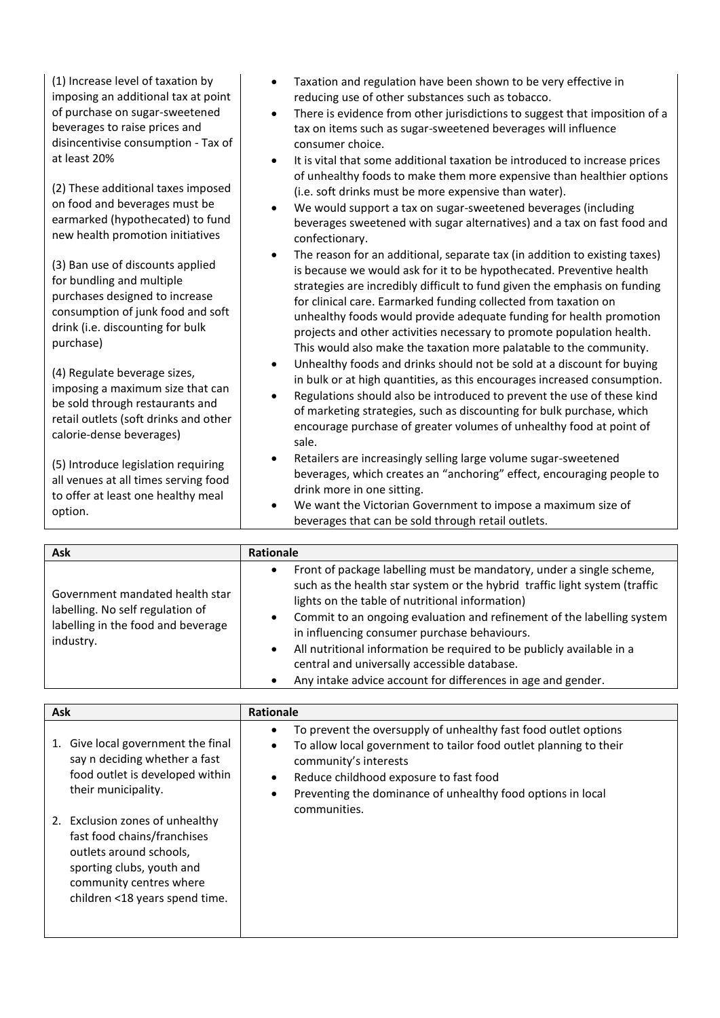| (1) Increase level of taxation by<br>imposing an additional tax at point<br>of purchase on sugar-sweetened<br>beverages to raise prices and<br>disincentivise consumption - Tax of<br>at least 20% | Taxation and regulation have been shown to be very effective in<br>reducing use of other substances such as tobacco.<br>There is evidence from other jurisdictions to suggest that imposition of a<br>$\bullet$<br>tax on items such as sugar-sweetened beverages will influence<br>consumer choice.<br>It is vital that some additional taxation be introduced to increase prices<br>$\bullet$                                                                                                                          |
|----------------------------------------------------------------------------------------------------------------------------------------------------------------------------------------------------|--------------------------------------------------------------------------------------------------------------------------------------------------------------------------------------------------------------------------------------------------------------------------------------------------------------------------------------------------------------------------------------------------------------------------------------------------------------------------------------------------------------------------|
| (2) These additional taxes imposed<br>on food and beverages must be<br>earmarked (hypothecated) to fund<br>new health promotion initiatives                                                        | of unhealthy foods to make them more expensive than healthier options<br>(i.e. soft drinks must be more expensive than water).<br>We would support a tax on sugar-sweetened beverages (including<br>beverages sweetened with sugar alternatives) and a tax on fast food and<br>confectionary.                                                                                                                                                                                                                            |
| (3) Ban use of discounts applied<br>for bundling and multiple<br>purchases designed to increase<br>consumption of junk food and soft<br>drink (i.e. discounting for bulk<br>purchase)              | The reason for an additional, separate tax (in addition to existing taxes)<br>is because we would ask for it to be hypothecated. Preventive health<br>strategies are incredibly difficult to fund given the emphasis on funding<br>for clinical care. Earmarked funding collected from taxation on<br>unhealthy foods would provide adequate funding for health promotion<br>projects and other activities necessary to promote population health.<br>This would also make the taxation more palatable to the community. |
| (4) Regulate beverage sizes,<br>imposing a maximum size that can<br>be sold through restaurants and<br>retail outlets (soft drinks and other<br>calorie-dense beverages)                           | Unhealthy foods and drinks should not be sold at a discount for buying<br>$\bullet$<br>in bulk or at high quantities, as this encourages increased consumption.<br>Regulations should also be introduced to prevent the use of these kind<br>of marketing strategies, such as discounting for bulk purchase, which<br>encourage purchase of greater volumes of unhealthy food at point of<br>sale.                                                                                                                       |
| (5) Introduce legislation requiring<br>all venues at all times serving food<br>to offer at least one healthy meal<br>option.                                                                       | Retailers are increasingly selling large volume sugar-sweetened<br>٠<br>beverages, which creates an "anchoring" effect, encouraging people to<br>drink more in one sitting.<br>We want the Victorian Government to impose a maximum size of<br>beverages that can be sold through retail outlets.                                                                                                                                                                                                                        |

| <b>Ask</b>                                                                                                             | <b>Rationale</b>                                                                                                                                                                                                                                                                                                                                                                                                                                                                                                                           |
|------------------------------------------------------------------------------------------------------------------------|--------------------------------------------------------------------------------------------------------------------------------------------------------------------------------------------------------------------------------------------------------------------------------------------------------------------------------------------------------------------------------------------------------------------------------------------------------------------------------------------------------------------------------------------|
| Government mandated health star<br>labelling. No self regulation of<br>labelling in the food and beverage<br>industry. | Front of package labelling must be mandatory, under a single scheme,<br>٠<br>such as the health star system or the hybrid traffic light system (traffic<br>lights on the table of nutritional information)<br>Commit to an ongoing evaluation and refinement of the labelling system<br>in influencing consumer purchase behaviours.<br>All nutritional information be required to be publicly available in a<br>$\bullet$<br>central and universally accessible database.<br>Any intake advice account for differences in age and gender. |

| Rationale                                                                                                                                                                                                                                                                                                             |
|-----------------------------------------------------------------------------------------------------------------------------------------------------------------------------------------------------------------------------------------------------------------------------------------------------------------------|
| To prevent the oversupply of unhealthy fast food outlet options<br>To allow local government to tailor food outlet planning to their<br>$\bullet$<br>community's interests<br>Reduce childhood exposure to fast food<br>$\bullet$<br>Preventing the dominance of unhealthy food options in local<br>٠<br>communities. |
|                                                                                                                                                                                                                                                                                                                       |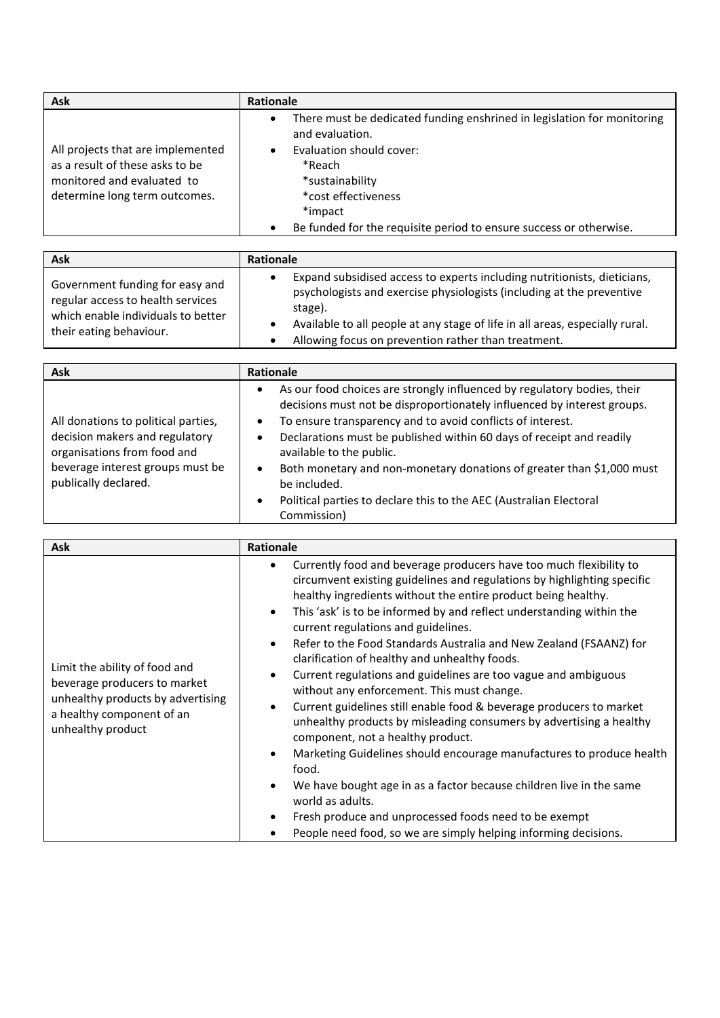| <b>Ask</b>                        | <b>Rationale</b>                                                                                        |
|-----------------------------------|---------------------------------------------------------------------------------------------------------|
|                                   | There must be dedicated funding enshrined in legislation for monitoring<br>$\bullet$<br>and evaluation. |
| All projects that are implemented | Evaluation should cover:                                                                                |
| as a result of these asks to be   | *Reach                                                                                                  |
| monitored and evaluated to        | *sustainability                                                                                         |
| determine long term outcomes.     | *cost effectiveness                                                                                     |
|                                   | *impact                                                                                                 |
|                                   | Be funded for the requisite period to ensure success or otherwise.                                      |

| Ask                                                                                                                                   | <b>Rationale</b>                                                                                                                                                                                                                                                                                    |
|---------------------------------------------------------------------------------------------------------------------------------------|-----------------------------------------------------------------------------------------------------------------------------------------------------------------------------------------------------------------------------------------------------------------------------------------------------|
| Government funding for easy and<br>regular access to health services<br>which enable individuals to better<br>their eating behaviour. | Expand subsidised access to experts including nutritionists, dieticians,<br>psychologists and exercise physiologists (including at the preventive<br>stage).<br>Available to all people at any stage of life in all areas, especially rural.<br>Allowing focus on prevention rather than treatment. |

| Ask                                                                                                                                                              | <b>Rationale</b>                                                                                                                                                                                                                                                                                                                                                                                                                                                                                                |
|------------------------------------------------------------------------------------------------------------------------------------------------------------------|-----------------------------------------------------------------------------------------------------------------------------------------------------------------------------------------------------------------------------------------------------------------------------------------------------------------------------------------------------------------------------------------------------------------------------------------------------------------------------------------------------------------|
| All donations to political parties,<br>decision makers and regulatory<br>organisations from food and<br>beverage interest groups must be<br>publically declared. | As our food choices are strongly influenced by regulatory bodies, their<br>decisions must not be disproportionately influenced by interest groups.<br>To ensure transparency and to avoid conflicts of interest.<br>Declarations must be published within 60 days of receipt and readily<br>available to the public.<br>Both monetary and non-monetary donations of greater than \$1,000 must<br>be included.<br>Political parties to declare this to the AEC (Australian Electoral<br>$\bullet$<br>Commission) |

| Ask                                                                                                                                                  | <b>Rationale</b>                                                                                                                                                                                                                                                                                                                                                                                                                                                                                                                                                                                                                                                                                                                                                                                                                                                                                                                                                                                                                                                                                            |
|------------------------------------------------------------------------------------------------------------------------------------------------------|-------------------------------------------------------------------------------------------------------------------------------------------------------------------------------------------------------------------------------------------------------------------------------------------------------------------------------------------------------------------------------------------------------------------------------------------------------------------------------------------------------------------------------------------------------------------------------------------------------------------------------------------------------------------------------------------------------------------------------------------------------------------------------------------------------------------------------------------------------------------------------------------------------------------------------------------------------------------------------------------------------------------------------------------------------------------------------------------------------------|
| Limit the ability of food and<br>beverage producers to market<br>unhealthy products by advertising<br>a healthy component of an<br>unhealthy product | Currently food and beverage producers have too much flexibility to<br>circumvent existing guidelines and regulations by highlighting specific<br>healthy ingredients without the entire product being healthy.<br>This 'ask' is to be informed by and reflect understanding within the<br>$\bullet$<br>current regulations and guidelines.<br>Refer to the Food Standards Australia and New Zealand (FSAANZ) for<br>$\bullet$<br>clarification of healthy and unhealthy foods.<br>Current regulations and guidelines are too vague and ambiguous<br>without any enforcement. This must change.<br>Current guidelines still enable food & beverage producers to market<br>unhealthy products by misleading consumers by advertising a healthy<br>component, not a healthy product.<br>Marketing Guidelines should encourage manufactures to produce health<br>$\bullet$<br>food.<br>We have bought age in as a factor because children live in the same<br>world as adults.<br>Fresh produce and unprocessed foods need to be exempt<br>٠<br>People need food, so we are simply helping informing decisions. |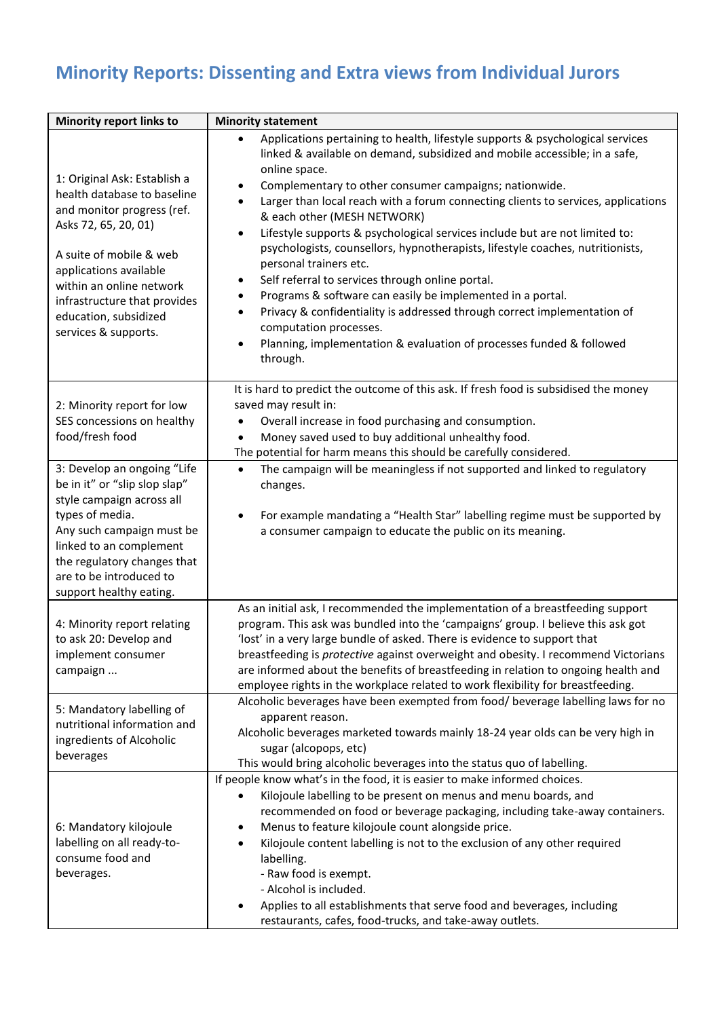## **Minority Reports: Dissenting and Extra views from Individual Jurors**

| <b>Minority report links to</b>                                                                                                                                                                                                                                                     | <b>Minority statement</b>                                                                                                                                                                                                                                                                                                                                                                                                                                                                                                                                                                                                                                                                                                                                                                                                                                                                              |
|-------------------------------------------------------------------------------------------------------------------------------------------------------------------------------------------------------------------------------------------------------------------------------------|--------------------------------------------------------------------------------------------------------------------------------------------------------------------------------------------------------------------------------------------------------------------------------------------------------------------------------------------------------------------------------------------------------------------------------------------------------------------------------------------------------------------------------------------------------------------------------------------------------------------------------------------------------------------------------------------------------------------------------------------------------------------------------------------------------------------------------------------------------------------------------------------------------|
| 1: Original Ask: Establish a<br>health database to baseline<br>and monitor progress (ref.<br>Asks 72, 65, 20, 01)<br>A suite of mobile & web<br>applications available<br>within an online network<br>infrastructure that provides<br>education, subsidized<br>services & supports. | Applications pertaining to health, lifestyle supports & psychological services<br>$\bullet$<br>linked & available on demand, subsidized and mobile accessible; in a safe,<br>online space.<br>Complementary to other consumer campaigns; nationwide.<br>Larger than local reach with a forum connecting clients to services, applications<br>& each other (MESH NETWORK)<br>Lifestyle supports & psychological services include but are not limited to:<br>$\bullet$<br>psychologists, counsellors, hypnotherapists, lifestyle coaches, nutritionists,<br>personal trainers etc.<br>Self referral to services through online portal.<br>٠<br>Programs & software can easily be implemented in a portal.<br>Privacy & confidentiality is addressed through correct implementation of<br>computation processes.<br>Planning, implementation & evaluation of processes funded & followed<br>٠<br>through. |
| 2: Minority report for low<br>SES concessions on healthy<br>food/fresh food                                                                                                                                                                                                         | It is hard to predict the outcome of this ask. If fresh food is subsidised the money<br>saved may result in:<br>Overall increase in food purchasing and consumption.<br>Money saved used to buy additional unhealthy food.<br>The potential for harm means this should be carefully considered.                                                                                                                                                                                                                                                                                                                                                                                                                                                                                                                                                                                                        |
| 3: Develop an ongoing "Life<br>be in it" or "slip slop slap"<br>style campaign across all<br>types of media.<br>Any such campaign must be<br>linked to an complement<br>the regulatory changes that<br>are to be introduced to<br>support healthy eating.                           | The campaign will be meaningless if not supported and linked to regulatory<br>$\bullet$<br>changes.<br>For example mandating a "Health Star" labelling regime must be supported by<br>a consumer campaign to educate the public on its meaning.                                                                                                                                                                                                                                                                                                                                                                                                                                                                                                                                                                                                                                                        |
| 4: Minority report relating<br>to ask 20: Develop and<br>implement consumer<br>campaign<br>5: Mandatory labelling of                                                                                                                                                                | As an initial ask, I recommended the implementation of a breastfeeding support<br>program. This ask was bundled into the 'campaigns' group. I believe this ask got<br>'lost' in a very large bundle of asked. There is evidence to support that<br>breastfeeding is protective against overweight and obesity. I recommend Victorians<br>are informed about the benefits of breastfeeding in relation to ongoing health and<br>employee rights in the workplace related to work flexibility for breastfeeding.<br>Alcoholic beverages have been exempted from food/ beverage labelling laws for no<br>apparent reason.                                                                                                                                                                                                                                                                                 |
| nutritional information and<br>ingredients of Alcoholic<br>beverages                                                                                                                                                                                                                | Alcoholic beverages marketed towards mainly 18-24 year olds can be very high in<br>sugar (alcopops, etc)<br>This would bring alcoholic beverages into the status quo of labelling.                                                                                                                                                                                                                                                                                                                                                                                                                                                                                                                                                                                                                                                                                                                     |
| 6: Mandatory kilojoule<br>labelling on all ready-to-<br>consume food and<br>beverages.                                                                                                                                                                                              | If people know what's in the food, it is easier to make informed choices.<br>Kilojoule labelling to be present on menus and menu boards, and<br>recommended on food or beverage packaging, including take-away containers.<br>Menus to feature kilojoule count alongside price.<br>Kilojoule content labelling is not to the exclusion of any other required<br>٠<br>labelling.<br>- Raw food is exempt.<br>- Alcohol is included.<br>Applies to all establishments that serve food and beverages, including<br>٠<br>restaurants, cafes, food-trucks, and take-away outlets.                                                                                                                                                                                                                                                                                                                           |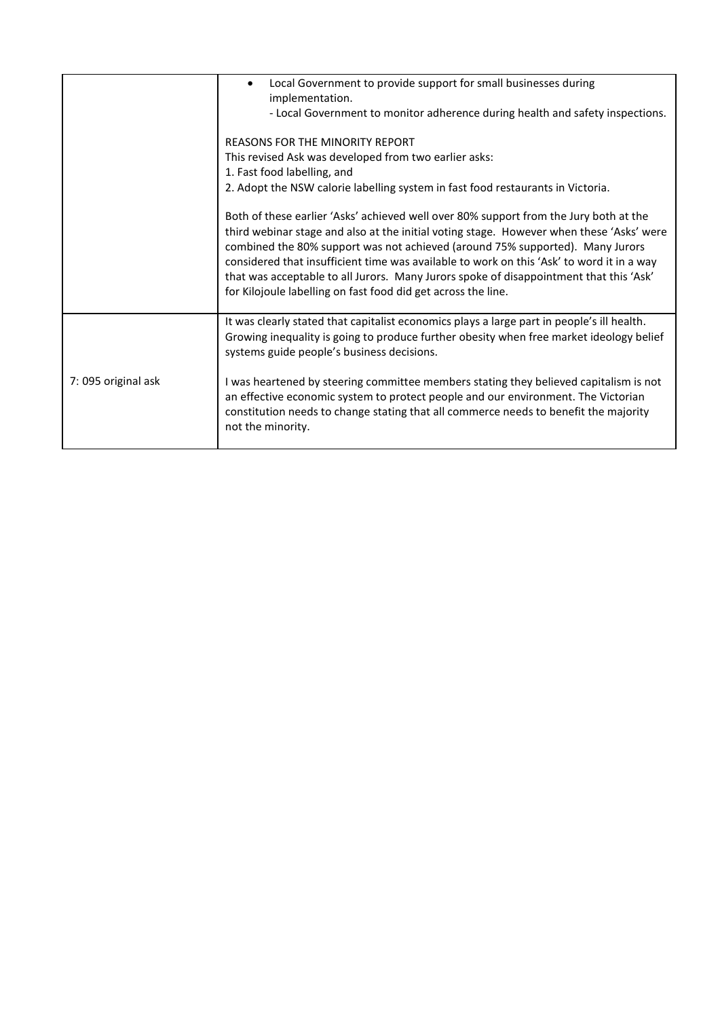|                     | Local Government to provide support for small businesses during<br>implementation.<br>- Local Government to monitor adherence during health and safety inspections.                                                                                                                                                                                                                                                                                                                                                        |
|---------------------|----------------------------------------------------------------------------------------------------------------------------------------------------------------------------------------------------------------------------------------------------------------------------------------------------------------------------------------------------------------------------------------------------------------------------------------------------------------------------------------------------------------------------|
|                     | <b>REASONS FOR THE MINORITY REPORT</b><br>This revised Ask was developed from two earlier asks:<br>1. Fast food labelling, and<br>2. Adopt the NSW calorie labelling system in fast food restaurants in Victoria.                                                                                                                                                                                                                                                                                                          |
|                     | Both of these earlier 'Asks' achieved well over 80% support from the Jury both at the<br>third webinar stage and also at the initial voting stage. However when these 'Asks' were<br>combined the 80% support was not achieved (around 75% supported). Many Jurors<br>considered that insufficient time was available to work on this 'Ask' to word it in a way<br>that was acceptable to all Jurors. Many Jurors spoke of disappointment that this 'Ask'<br>for Kilojoule labelling on fast food did get across the line. |
|                     | It was clearly stated that capitalist economics plays a large part in people's ill health.<br>Growing inequality is going to produce further obesity when free market ideology belief<br>systems guide people's business decisions.                                                                                                                                                                                                                                                                                        |
| 7: 095 original ask | I was heartened by steering committee members stating they believed capitalism is not<br>an effective economic system to protect people and our environment. The Victorian<br>constitution needs to change stating that all commerce needs to benefit the majority<br>not the minority.                                                                                                                                                                                                                                    |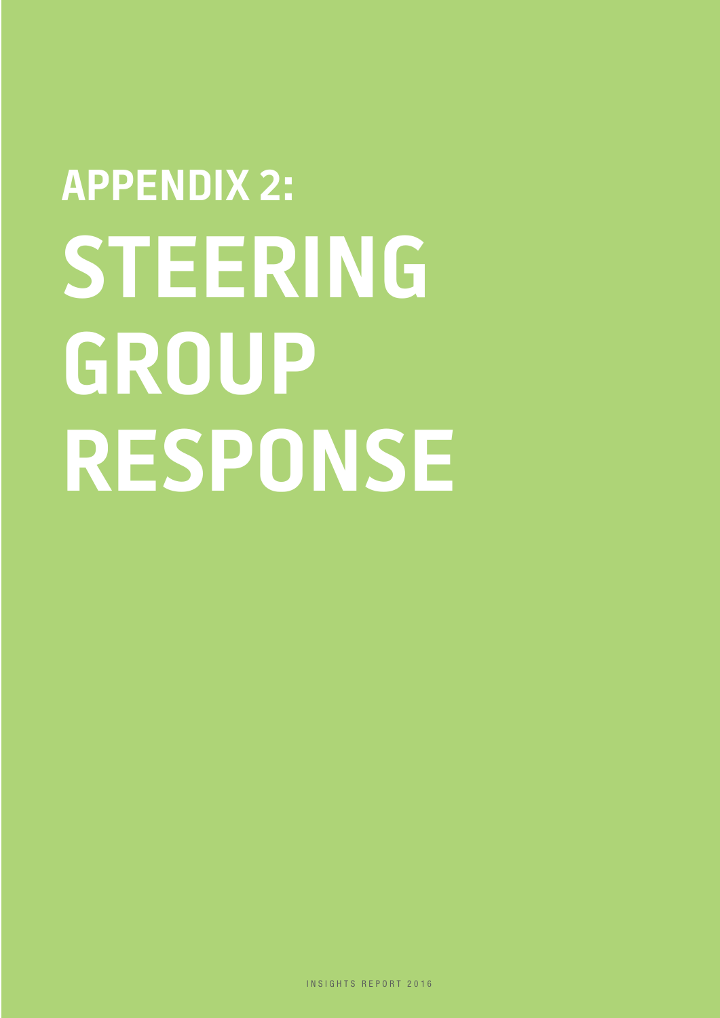# **APPENDIX 2: STEERING GROUP RESPONSE**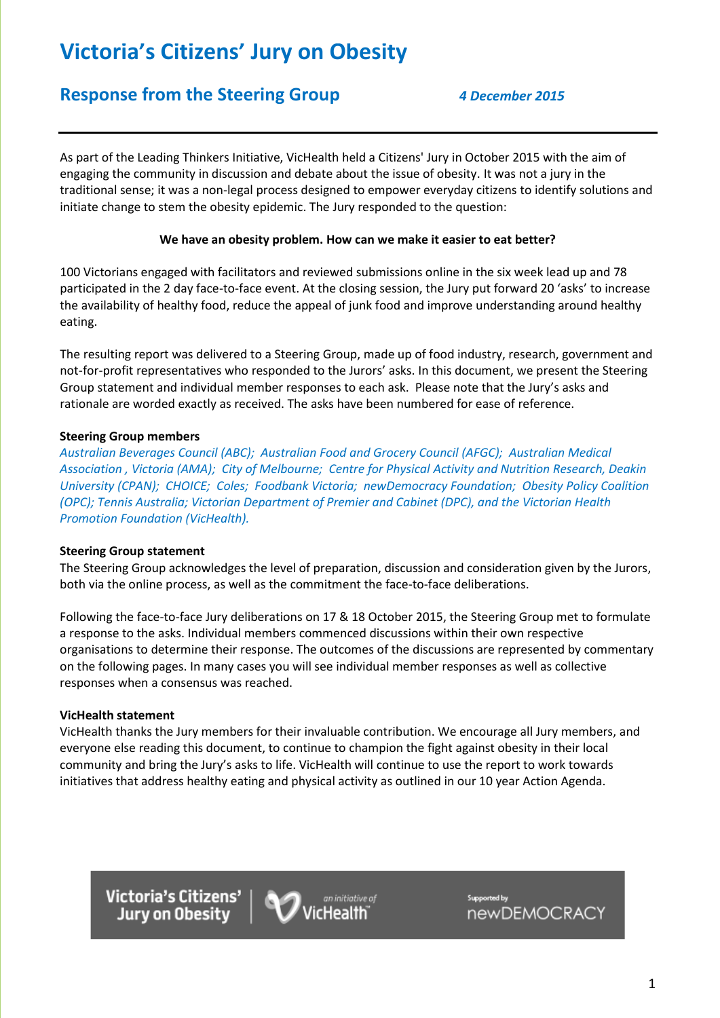## **Victoria's Citizens' Jury on Obesity**

## **Response from the Steering Group** *4 December 2015*

As part of the Leading Thinkers Initiative, VicHealth held a Citizens' Jury in October 2015 with the aim of engaging the community in discussion and debate about the issue of obesity. It was not a jury in the traditional sense; it was a non-legal process designed to empower everyday citizens to identify solutions and initiate change to stem the obesity epidemic. The Jury responded to the question:

#### **We have an obesity problem. How can we make it easier to eat better?**

100 Victorians engaged with facilitators and reviewed submissions online in the six week lead up and 78 participated in the 2 day face-to-face event. At the closing session, the Jury put forward 20 'asks' to increase the availability of healthy food, reduce the appeal of junk food and improve understanding around healthy eating.

The resulting report was delivered to a Steering Group, made up of food industry, research, government and not-for-profit representatives who responded to the Jurors' asks. In this document, we present the Steering Group statement and individual member responses to each ask. Please note that the Jury's asks and rationale are worded exactly as received. The asks have been numbered for ease of reference.

#### **Steering Group members**

*Australian Beverages Council (ABC); Australian Food and Grocery Council (AFGC); Australian Medical Association , Victoria (AMA); City of Melbourne; Centre for Physical Activity and Nutrition Research, Deakin University (CPAN); CHOICE; Coles; Foodbank Victoria; newDemocracy Foundation; Obesity Policy Coalition (OPC); Tennis Australia; Victorian Department of Premier and Cabinet (DPC), and the Victorian Health Promotion Foundation (VicHealth).*

#### **Steering Group statement**

The Steering Group acknowledges the level of preparation, discussion and consideration given by the Jurors, both via the online process, as well as the commitment the face-to-face deliberations.

Following the face-to-face Jury deliberations on 17 & 18 October 2015, the Steering Group met to formulate a response to the asks. Individual members commenced discussions within their own respective organisations to determine their response. The outcomes of the discussions are represented by commentary on the following pages. In many cases you will see individual member responses as well as collective responses when a consensus was reached.

#### **VicHealth statement**

VicHealth thanks the Jury members for their invaluable contribution. We encourage all Jury members, and everyone else reading this document, to continue to champion the fight against obesity in their local community and bring the Jury's asks to life. VicHealth will continue to use the report to work towards initiatives that address healthy eating and physical activity as outlined in our 10 year Action Agenda.

**Victoria's Citizens'** Jury on Obesity



Supported by **newDEMOCRACY**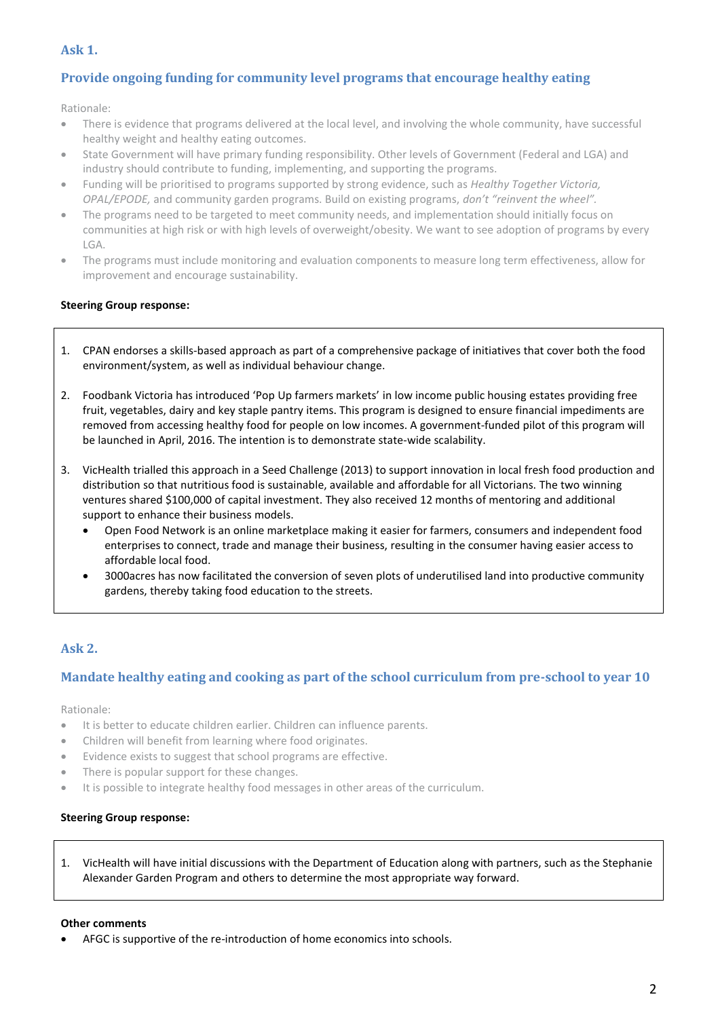#### **Ask 1.**

#### **Provide ongoing funding for community level programs that encourage healthy eating**

Rationale:

- There is evidence that programs delivered at the local level, and involving the whole community, have successful healthy weight and healthy eating outcomes.
- State Government will have primary funding responsibility. Other levels of Government (Federal and LGA) and industry should contribute to funding, implementing, and supporting the programs.
- Funding will be prioritised to programs supported by strong evidence, such as *Healthy Together Victoria, OPAL/EPODE,* and community garden programs. Build on existing programs, *don't "reinvent the wheel".*
- The programs need to be targeted to meet community needs, and implementation should initially focus on communities at high risk or with high levels of overweight/obesity. We want to see adoption of programs by every LGA.
- The programs must include monitoring and evaluation components to measure long term effectiveness, allow for improvement and encourage sustainability.

#### **Steering Group response:**

- 1. CPAN endorses a skills-based approach as part of a comprehensive package of initiatives that cover both the food environment/system, as well as individual behaviour change.
- 2. Foodbank Victoria has introduced 'Pop Up farmers markets' in low income public housing estates providing free fruit, vegetables, dairy and key staple pantry items. This program is designed to ensure financial impediments are removed from accessing healthy food for people on low incomes. A government-funded pilot of this program will be launched in April, 2016. The intention is to demonstrate state-wide scalability.
- 3. VicHealth trialled this approach in a Seed Challenge (2013) to support innovation in local fresh food production and distribution so that nutritious food is sustainable, available and affordable for all Victorians. The two winning ventures shared \$100,000 of capital investment. They also received 12 months of mentoring and additional support to enhance their business models.
	- Open Food Network is an online marketplace making it easier for farmers, consumers and independent food enterprises to connect, trade and manage their business, resulting in the consumer having easier access to affordable local food.
	- 3000acres has now facilitated the conversion of seven plots of underutilised land into productive community gardens, thereby taking food education to the streets.

#### **Ask 2.**

#### **Mandate healthy eating and cooking as part of the school curriculum from pre-school to year 10**

Rationale:

- It is better to educate children earlier. Children can influence parents.
- Children will benefit from learning where food originates.
- Evidence exists to suggest that school programs are effective.
- There is popular support for these changes.
- It is possible to integrate healthy food messages in other areas of the curriculum.

#### **Steering Group response:**

1. VicHealth will have initial discussions with the Department of Education along with partners, such as the Stephanie Alexander Garden Program and others to determine the most appropriate way forward.

#### **Other comments**

AFGC is supportive of the re-introduction of home economics into schools.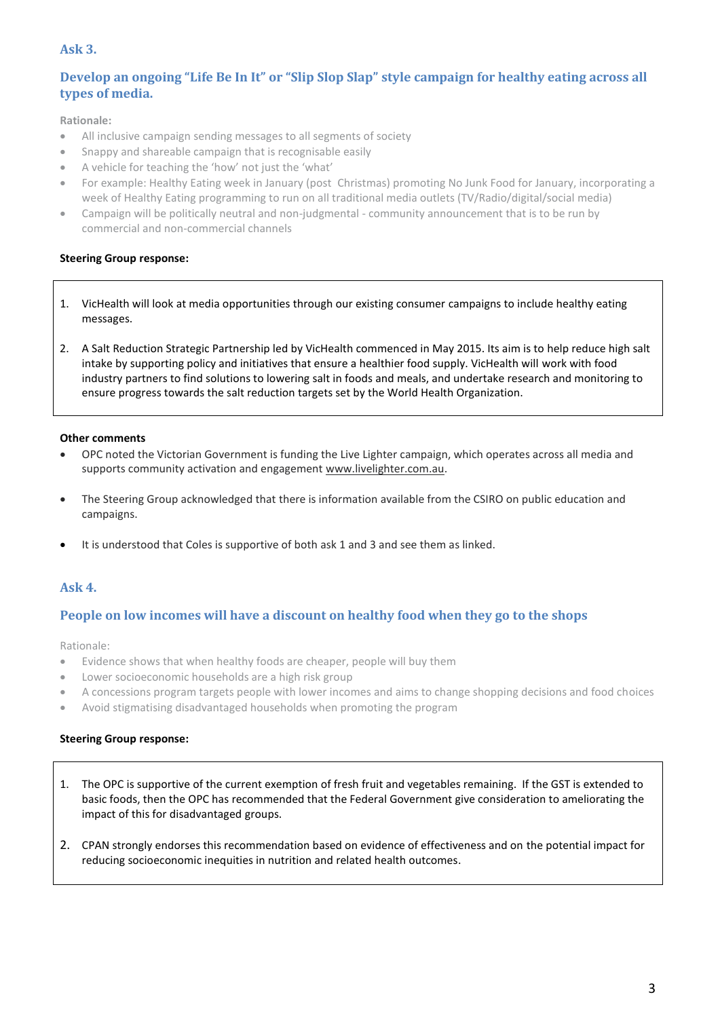#### **Ask 3.**

#### **Develop an ongoing "Life Be In It" or "Slip Slop Slap" style campaign for healthy eating across all types of media.**

**Rationale:**

- All inclusive campaign sending messages to all segments of society
- Snappy and shareable campaign that is recognisable easily
- A vehicle for teaching the 'how' not just the 'what'
- For example: Healthy Eating week in January (post Christmas) promoting No Junk Food for January, incorporating a week of Healthy Eating programming to run on all traditional media outlets (TV/Radio/digital/social media)
- Campaign will be politically neutral and non-judgmental community announcement that is to be run by commercial and non-commercial channels

#### **Steering Group response:**

- 1. VicHealth will look at media opportunities through our existing consumer campaigns to include healthy eating messages.
- 2. A Salt Reduction Strategic Partnership led by VicHealth commenced in May 2015. Its aim is to help reduce high salt intake by supporting policy and initiatives that ensure a healthier food supply. VicHealth will work with food industry partners to find solutions to lowering salt in foods and meals, and undertake research and monitoring to ensure progress towards the salt reduction targets set by the World Health Organization.

#### **Other comments**

- OPC noted the Victorian Government is funding the Live Lighter campaign, which operates across all media and supports community activation and engagement www.livelighter.com.au.
- The Steering Group acknowledged that there is information available from the CSIRO on public education and campaigns.
- It is understood that Coles is supportive of both ask 1 and 3 and see them as linked.

#### **Ask 4.**

#### **People on low incomes will have a discount on healthy food when they go to the shops**

Rationale:

- Evidence shows that when healthy foods are cheaper, people will buy them
- Lower socioeconomic households are a high risk group
- A concessions program targets people with lower incomes and aims to change shopping decisions and food choices
- Avoid stigmatising disadvantaged households when promoting the program

#### **Steering Group response:**

- 1. The OPC is supportive of the current exemption of fresh fruit and vegetables remaining. If the GST is extended to basic foods, then the OPC has recommended that the Federal Government give consideration to ameliorating the impact of this for disadvantaged groups.
- 2. CPAN strongly endorses this recommendation based on evidence of effectiveness and on the potential impact for reducing socioeconomic inequities in nutrition and related health outcomes.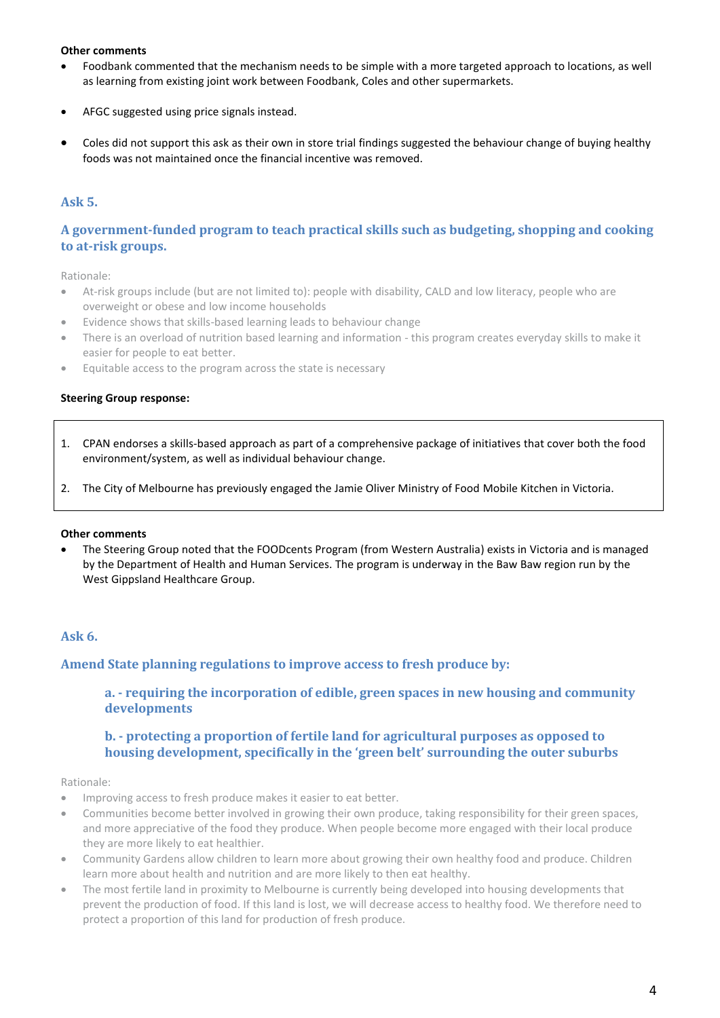#### **Other comments**

- Foodbank commented that the mechanism needs to be simple with a more targeted approach to locations, as well as learning from existing joint work between Foodbank, Coles and other supermarkets.
- AFGC suggested using price signals instead.
- Coles did not support this ask as their own in store trial findings suggested the behaviour change of buying healthy foods was not maintained once the financial incentive was removed.

#### **Ask 5.**

#### **A government-funded program to teach practical skills such as budgeting, shopping and cooking to at-risk groups.**

Rationale:

- At-risk groups include (but are not limited to): people with disability, CALD and low literacy, people who are overweight or obese and low income households
- Evidence shows that skills-based learning leads to behaviour change
- There is an overload of nutrition based learning and information this program creates everyday skills to make it easier for people to eat better.
- Equitable access to the program across the state is necessary

#### **Steering Group response:**

- 1. CPAN endorses a skills-based approach as part of a comprehensive package of initiatives that cover both the food environment/system, as well as individual behaviour change.
- 2. The City of Melbourne has previously engaged the Jamie Oliver Ministry of Food Mobile Kitchen in Victoria.

#### **Other comments**

 The Steering Group noted that the FOODcents Program (from Western Australia) exists in Victoria and is managed by the Department of Health and Human Services. The program is underway in the Baw Baw region run by the West Gippsland Healthcare Group.

#### **Ask 6.**

**Amend State planning regulations to improve access to fresh produce by:**

**a. - requiring the incorporation of edible, green spaces in new housing and community developments** 

#### **b. - protecting a proportion of fertile land for agricultural purposes as opposed to housing development, specifically in the 'green belt' surrounding the outer suburbs**

#### Rationale:

- Improving access to fresh produce makes it easier to eat better.
- Communities become better involved in growing their own produce, taking responsibility for their green spaces, and more appreciative of the food they produce. When people become more engaged with their local produce they are more likely to eat healthier.
- Community Gardens allow children to learn more about growing their own healthy food and produce. Children learn more about health and nutrition and are more likely to then eat healthy.
- The most fertile land in proximity to Melbourne is currently being developed into housing developments that prevent the production of food. If this land is lost, we will decrease access to healthy food. We therefore need to protect a proportion of this land for production of fresh produce.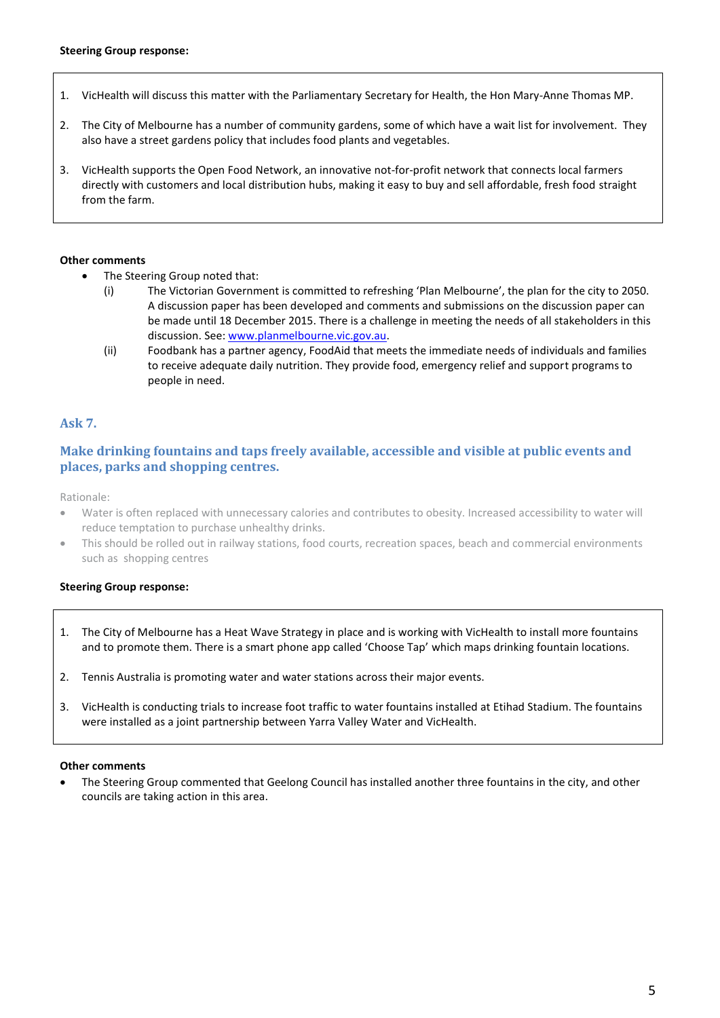- 1. VicHealth will discuss this matter with the Parliamentary Secretary for Health, the Hon Mary-Anne Thomas MP.
- 2. The City of Melbourne has a number of community gardens, some of which have a wait list for involvement. They also have a street gardens policy that includes food plants and vegetables.
- 3. VicHealth supports the Open Food Network, an innovative not-for-profit network that connects local farmers directly with customers and local distribution hubs, making it easy to buy and sell affordable, fresh food straight from the farm.

#### **Other comments**

- The Steering Group noted that:
	- (i) The Victorian Government is committed to refreshing 'Plan Melbourne', the plan for the city to 2050. A discussion paper has been developed and comments and submissions on the discussion paper can be made until 18 December 2015. There is a challenge in meeting the needs of all stakeholders in this discussion. See: www.planmelbourne.vic.gov.au.
	- (ii) Foodbank has a partner agency, FoodAid that meets the immediate needs of individuals and families to receive adequate daily nutrition. They provide food, emergency relief and support programs to people in need.

#### **Ask 7.**

#### **Make drinking fountains and taps freely available, accessible and visible at public events and places, parks and shopping centres.**

Rationale:

- Water is often replaced with unnecessary calories and contributes to obesity. Increased accessibility to water will reduce temptation to purchase unhealthy drinks.
- This should be rolled out in railway stations, food courts, recreation spaces, beach and commercial environments such as shopping centres

#### **Steering Group response:**

- 1. The City of Melbourne has a Heat Wave Strategy in place and is working with VicHealth to install more fountains and to promote them. There is a smart phone app called 'Choose Tap' which maps drinking fountain locations.
- 2. Tennis Australia is promoting water and water stations across their major events.
- 3. VicHealth is conducting trials to increase foot traffic to water fountains installed at Etihad Stadium. The fountains were installed as a joint partnership between Yarra Valley Water and VicHealth.

#### **Other comments**

 The Steering Group commented that Geelong Council has installed another three fountains in the city, and other councils are taking action in this area.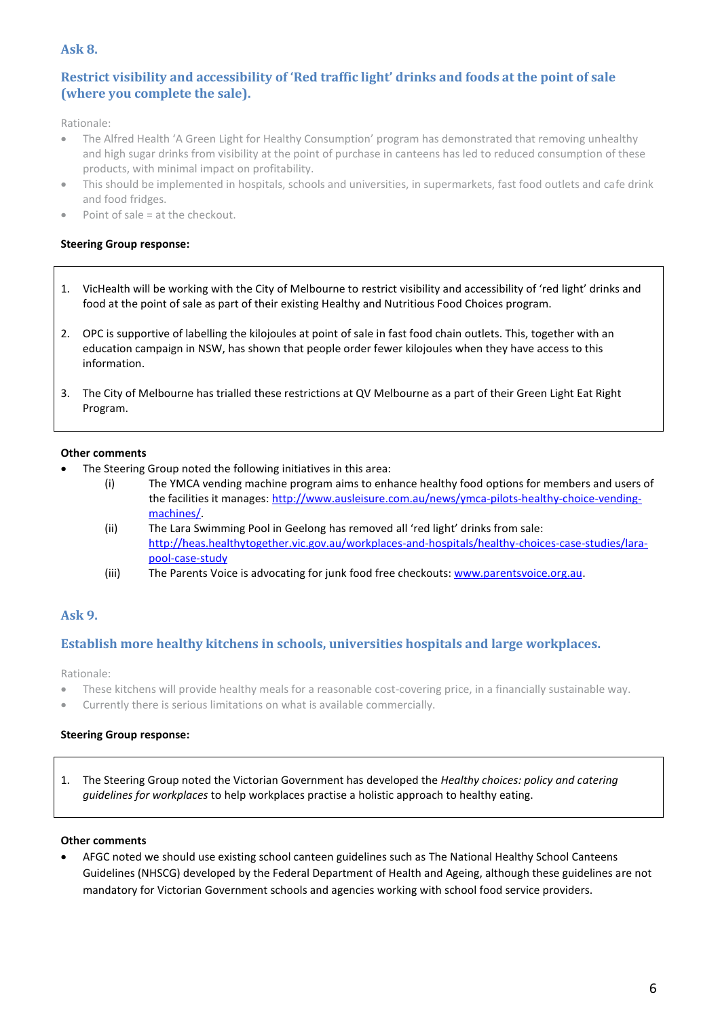#### **Ask 8.**

#### **Restrict visibility and accessibility of 'Red traffic light' drinks and foods at the point of sale (where you complete the sale).**

Rationale:

- The Alfred Health 'A Green Light for Healthy Consumption' program has demonstrated that removing unhealthy and high sugar drinks from visibility at the point of purchase in canteens has led to reduced consumption of these products, with minimal impact on profitability.
- This should be implemented in hospitals, schools and universities, in supermarkets, fast food outlets and cafe drink and food fridges.
- Point of sale = at the checkout.

#### **Steering Group response:**

- 1. VicHealth will be working with the City of Melbourne to restrict visibility and accessibility of 'red light' drinks and food at the point of sale as part of their existing Healthy and Nutritious Food Choices program.
- 2. OPC is supportive of labelling the kilojoules at point of sale in fast food chain outlets. This, together with an education campaign in NSW, has shown that people order fewer kilojoules when they have access to this information.
- 3. The City of Melbourne has trialled these restrictions at QV Melbourne as a part of their Green Light Eat Right Program.

#### **Other comments**

- The Steering Group noted the following initiatives in this area:
	- (i) The YMCA vending machine program aims to enhance healthy food options for members and users of the facilities it manages: http://www.ausleisure.com.au/news/ymca-pilots-healthy-choice-vendingmachines/.
	- (ii) The Lara Swimming Pool in Geelong has removed all 'red light' drinks from sale: http://heas.healthytogether.vic.gov.au/workplaces-and-hospitals/healthy-choices-case-studies/larapool-case-study
	- (iii) The Parents Voice is advocating for junk food free checkouts: www.parentsvoice.org.au.

#### **Ask 9.**

#### **Establish more healthy kitchens in schools, universities hospitals and large workplaces.**

Rationale:

- These kitchens will provide healthy meals for a reasonable cost-covering price, in a financially sustainable way.
- Currently there is serious limitations on what is available commercially.

#### **Steering Group response:**

1. The Steering Group noted the Victorian Government has developed the *Healthy choices: policy and catering guidelines for workplaces* to help workplaces practise a holistic approach to healthy eating.

#### **Other comments**

 AFGC noted we should use existing school canteen guidelines such as The National Healthy School Canteens Guidelines (NHSCG) developed by the Federal Department of Health and Ageing, although these guidelines are not mandatory for Victorian Government schools and agencies working with school food service providers.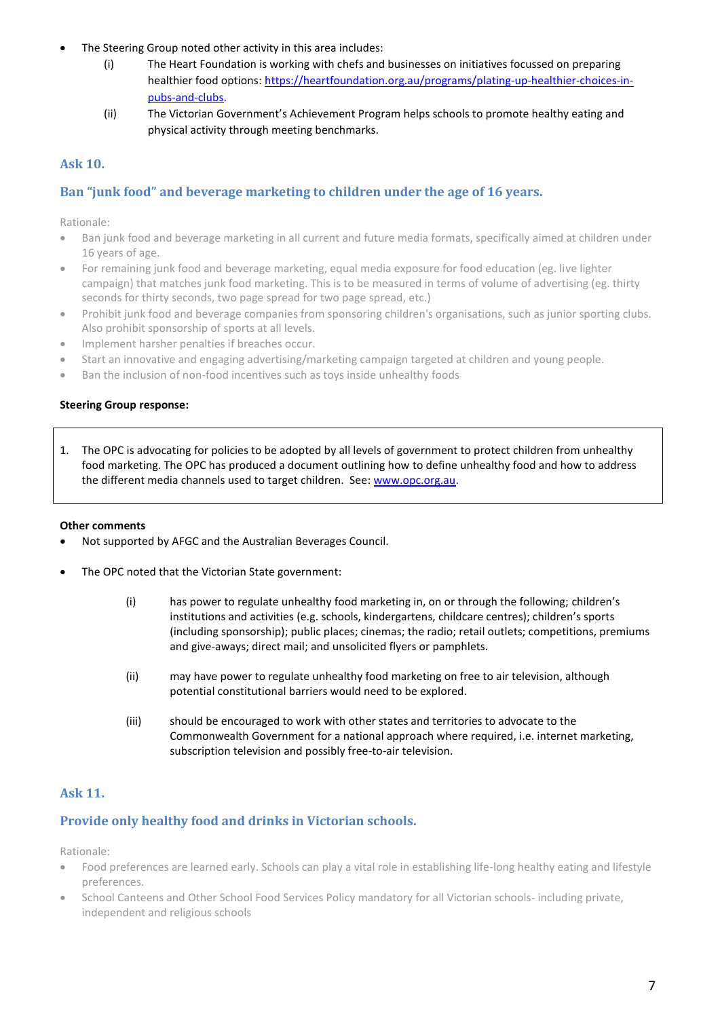- The Steering Group noted other activity in this area includes:
	- (i) The Heart Foundation is working with chefs and businesses on initiatives focussed on preparing healthier food options: https://heartfoundation.org.au/programs/plating-up-healthier-choices-inpubs-and-clubs.
	- (ii) The Victorian Government's Achievement Program helps schools to promote healthy eating and physical activity through meeting benchmarks.

#### **Ask 10.**

#### **Ban "junk food" and beverage marketing to children under the age of 16 years.**

Rationale:

- Ban junk food and beverage marketing in all current and future media formats, specifically aimed at children under 16 years of age.
- For remaining junk food and beverage marketing, equal media exposure for food education (eg. live lighter campaign) that matches junk food marketing. This is to be measured in terms of volume of advertising (eg. thirty seconds for thirty seconds, two page spread for two page spread, etc.)
- Prohibit junk food and beverage companies from sponsoring children's organisations, such as junior sporting clubs. Also prohibit sponsorship of sports at all levels.
- Implement harsher penalties if breaches occur.
- Start an innovative and engaging advertising/marketing campaign targeted at children and young people.
- Ban the inclusion of non-food incentives such as toys inside unhealthy foods

#### **Steering Group response:**

1. The OPC is advocating for policies to be adopted by all levels of government to protect children from unhealthy food marketing. The OPC has produced a document outlining how to define unhealthy food and how to address the different media channels used to target children. See: www.opc.org.au.

#### **Other comments**

- Not supported by AFGC and the Australian Beverages Council.
- The OPC noted that the Victorian State government:
	- (i) has power to regulate unhealthy food marketing in, on or through the following; children's institutions and activities (e.g. schools, kindergartens, childcare centres); children's sports (including sponsorship); public places; cinemas; the radio; retail outlets; competitions, premiums and give-aways; direct mail; and unsolicited flyers or pamphlets.
	- (ii) may have power to regulate unhealthy food marketing on free to air television, although potential constitutional barriers would need to be explored.
	- (iii) should be encouraged to work with other states and territories to advocate to the Commonwealth Government for a national approach where required, i.e. internet marketing, subscription television and possibly free-to-air television.

#### **Ask 11.**

#### **Provide only healthy food and drinks in Victorian schools.**

Rationale:

- Food preferences are learned early. Schools can play a vital role in establishing life-long healthy eating and lifestyle preferences.
- School Canteens and Other School Food Services Policy mandatory for all Victorian schools- including private, independent and religious schools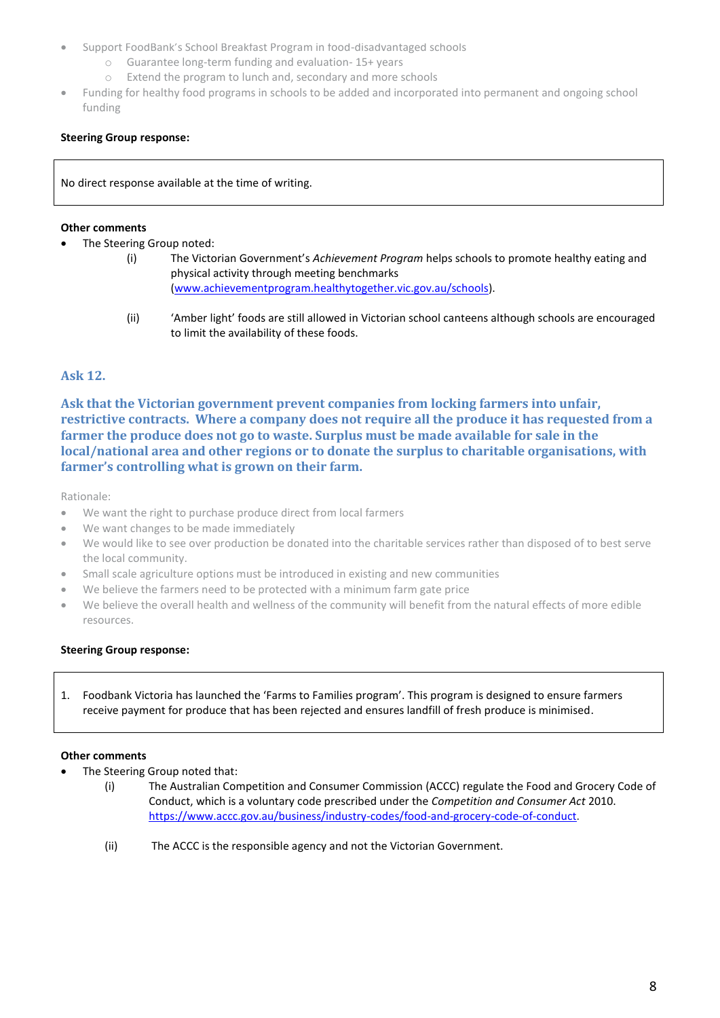- Support FoodBank's School Breakfast Program in food-disadvantaged schools
	- o Guarantee long-term funding and evaluation- 15+ years
	- o Extend the program to lunch and, secondary and more schools
- Funding for healthy food programs in schools to be added and incorporated into permanent and ongoing school funding

#### **Steering Group response:**

No direct response available at the time of writing.

#### **Other comments**

- The Steering Group noted:
	- (i) The Victorian Government's *Achievement Program* helps schools to promote healthy eating and physical activity through meeting benchmarks (www.achievementprogram.healthytogether.vic.gov.au/schools).
	- (ii) 'Amber light' foods are still allowed in Victorian school canteens although schools are encouraged to limit the availability of these foods.

#### **Ask 12.**

**Ask that the Victorian government prevent companies from locking farmers into unfair, restrictive contracts. Where a company does not require all the produce it has requested from a farmer the produce does not go to waste. Surplus must be made available for sale in the local/national area and other regions or to donate the surplus to charitable organisations, with farmer's controlling what is grown on their farm.**

Rationale:

- We want the right to purchase produce direct from local farmers
- We want changes to be made immediately
- We would like to see over production be donated into the charitable services rather than disposed of to best serve the local community.
- Small scale agriculture options must be introduced in existing and new communities
- We believe the farmers need to be protected with a minimum farm gate price
- We believe the overall health and wellness of the community will benefit from the natural effects of more edible resources.

#### **Steering Group response:**

1. Foodbank Victoria has launched the 'Farms to Families program'. This program is designed to ensure farmers receive payment for produce that has been rejected and ensures landfill of fresh produce is minimised.

#### **Other comments**

- The Steering Group noted that:
	- (i) The Australian Competition and Consumer Commission (ACCC) regulate the Food and Grocery Code of Conduct, which is a voluntary code prescribed under the *Competition and Consumer Act* 2010. https://www.accc.gov.au/business/industry-codes/food-and-grocery-code-of-conduct.
	- (ii) The ACCC is the responsible agency and not the Victorian Government.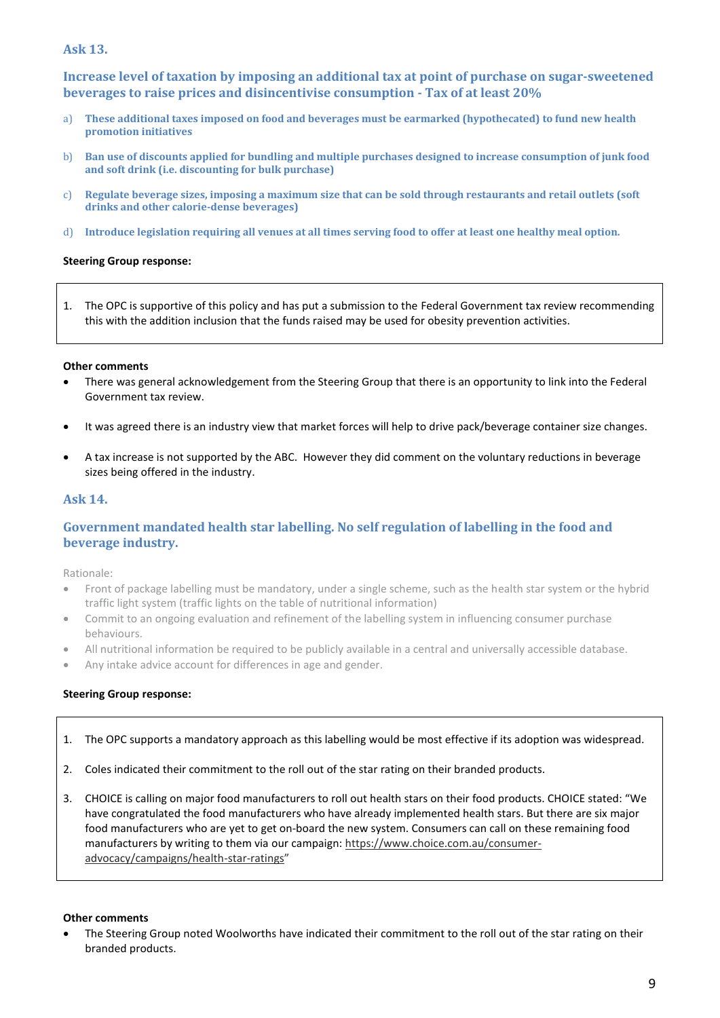#### **Ask 13.**

**Increase level of taxation by imposing an additional tax at point of purchase on sugar-sweetened beverages to raise prices and disincentivise consumption - Tax of at least 20%**

- a) **These additional taxes imposed on food and beverages must be earmarked (hypothecated) to fund new health promotion initiatives**
- b) **Ban use of discounts applied for bundling and multiple purchases designed to increase consumption of junk food and soft drink (i.e. discounting for bulk purchase)**
- c) **Regulate beverage sizes, imposing a maximum size that can be sold through restaurants and retail outlets (soft drinks and other calorie-dense beverages)**
- d) **Introduce legislation requiring all venues at all times serving food to offer at least one healthy meal option.**

#### **Steering Group response:**

1. The OPC is supportive of this policy and has put a submission to the Federal Government tax review recommending this with the addition inclusion that the funds raised may be used for obesity prevention activities.

#### **Other comments**

- There was general acknowledgement from the Steering Group that there is an opportunity to link into the Federal Government tax review.
- It was agreed there is an industry view that market forces will help to drive pack/beverage container size changes.
- A tax increase is not supported by the ABC. However they did comment on the voluntary reductions in beverage sizes being offered in the industry.

#### **Ask 14.**

#### **Government mandated health star labelling. No self regulation of labelling in the food and beverage industry.**

Rationale:

- Front of package labelling must be mandatory, under a single scheme, such as the health star system or the hybrid traffic light system (traffic lights on the table of nutritional information)
- Commit to an ongoing evaluation and refinement of the labelling system in influencing consumer purchase behaviours.
- All nutritional information be required to be publicly available in a central and universally accessible database.
- Any intake advice account for differences in age and gender.

#### **Steering Group response:**

- 1. The OPC supports a mandatory approach as this labelling would be most effective if its adoption was widespread.
- 2. Coles indicated their commitment to the roll out of the star rating on their branded products.
- 3. CHOICE is calling on major food manufacturers to roll out health stars on their food products. CHOICE stated: "We have congratulated the food manufacturers who have already implemented health stars. But there are six major food manufacturers who are yet to get on-board the new system. Consumers can call on these remaining food manufacturers by writing to them via our campaign: https://www.choice.com.au/consumeradvocacy/campaigns/health-star-ratings"

#### **Other comments**

 The Steering Group noted Woolworths have indicated their commitment to the roll out of the star rating on their branded products.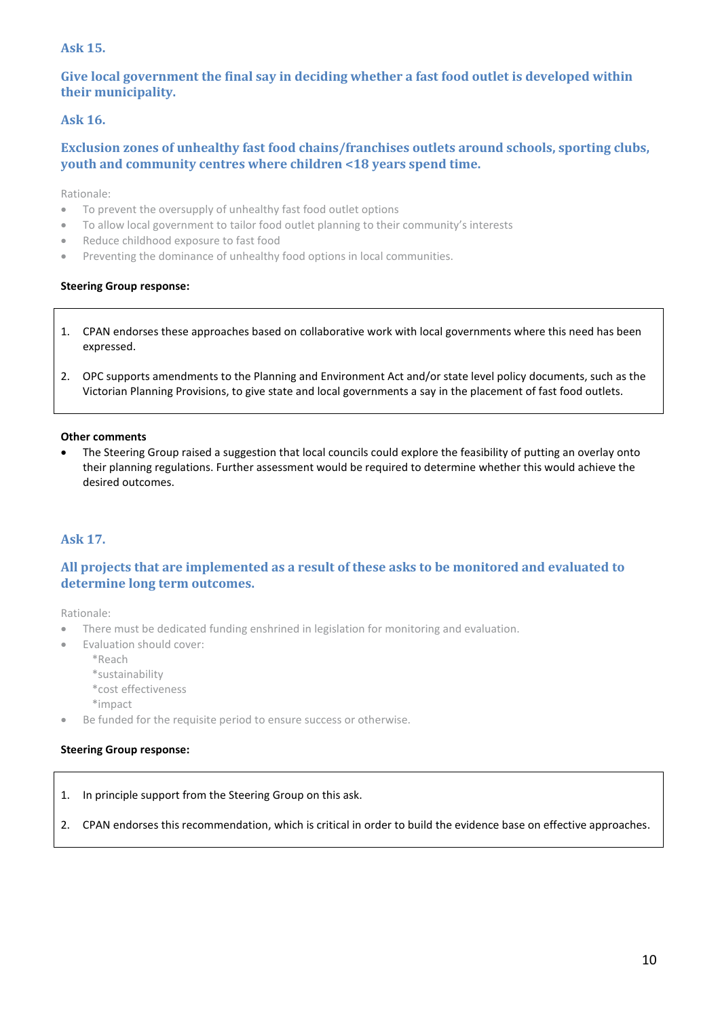#### **Ask 15.**

#### **Give local government the final say in deciding whether a fast food outlet is developed within their municipality.**

#### **Ask 16.**

#### **Exclusion zones of unhealthy fast food chains/franchises outlets around schools, sporting clubs, youth and community centres where children <18 years spend time.**

Rationale:

- To prevent the oversupply of unhealthy fast food outlet options
- To allow local government to tailor food outlet planning to their community's interests
- Reduce childhood exposure to fast food
- Preventing the dominance of unhealthy food options in local communities.

#### **Steering Group response:**

- 1. CPAN endorses these approaches based on collaborative work with local governments where this need has been expressed.
- 2. OPC supports amendments to the Planning and Environment Act and/or state level policy documents, such as the Victorian Planning Provisions, to give state and local governments a say in the placement of fast food outlets.

#### **Other comments**

 The Steering Group raised a suggestion that local councils could explore the feasibility of putting an overlay onto their planning regulations. Further assessment would be required to determine whether this would achieve the desired outcomes.

#### **Ask 17.**

#### **All projects that are implemented as a result of these asks to be monitored and evaluated to determine long term outcomes.**

Rationale:

- There must be dedicated funding enshrined in legislation for monitoring and evaluation.
- Evaluation should cover:

\*Reach \*sustainability \*cost effectiveness \*impact

Be funded for the requisite period to ensure success or otherwise.

#### **Steering Group response:**

- 1. In principle support from the Steering Group on this ask.
- 2. CPAN endorses this recommendation, which is critical in order to build the evidence base on effective approaches.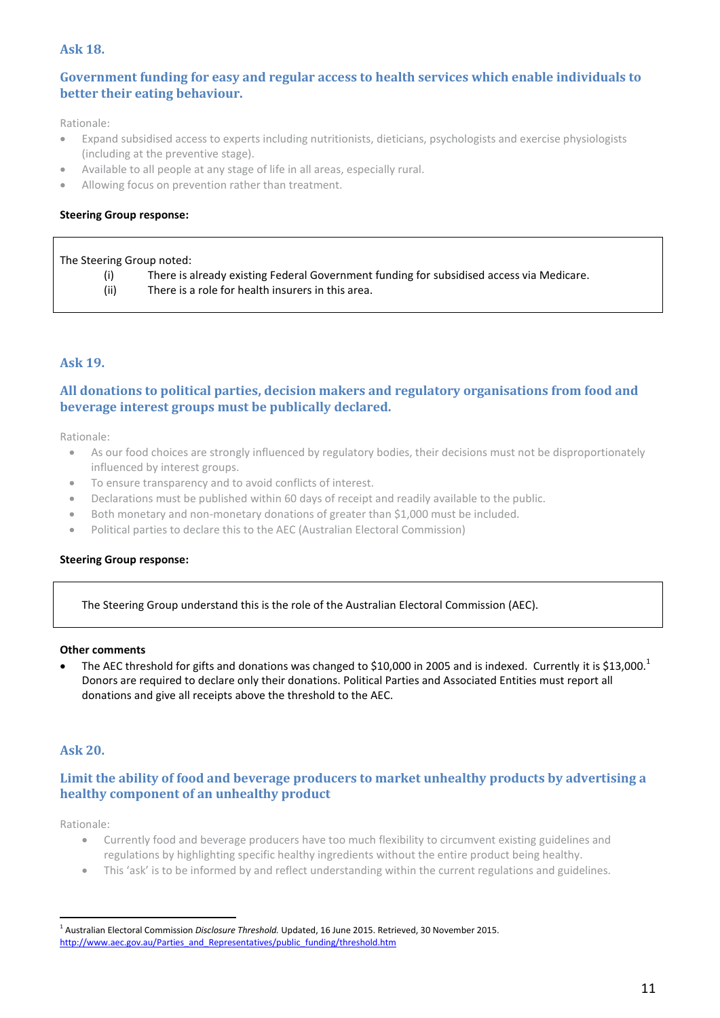#### **Ask 18.**

#### **Government funding for easy and regular access to health services which enable individuals to better their eating behaviour.**

Rationale:

- Expand subsidised access to experts including nutritionists, dieticians, psychologists and exercise physiologists (including at the preventive stage).
- Available to all people at any stage of life in all areas, especially rural.
- Allowing focus on prevention rather than treatment.

#### **Steering Group response:**

The Steering Group noted:

- (i) There is already existing Federal Government funding for subsidised access via Medicare.
- (ii) There is a role for health insurers in this area.

#### **Ask 19.**

#### **All donations to political parties, decision makers and regulatory organisations from food and beverage interest groups must be publically declared.**

Rationale:

- As our food choices are strongly influenced by regulatory bodies, their decisions must not be disproportionately influenced by interest groups.
- To ensure transparency and to avoid conflicts of interest.
- Declarations must be published within 60 days of receipt and readily available to the public.
- Both monetary and non-monetary donations of greater than \$1,000 must be included.
- Political parties to declare this to the AEC (Australian Electoral Commission)

#### **Steering Group response:**

The Steering Group understand this is the role of the Australian Electoral Commission (AEC).

#### **Other comments**

• The AEC threshold for gifts and donations was changed to \$10,000 in 2005 and is indexed. Currently it is \$13,000.<sup>1</sup> Donors are required to declare only their donations. Political Parties and Associated Entities must report all donations and give all receipts above the threshold to the AEC.

#### **Ask 20.**

#### **Limit the ability of food and beverage producers to market unhealthy products by advertising a healthy component of an unhealthy product**

Rationale:

- Currently food and beverage producers have too much flexibility to circumvent existing guidelines and regulations by highlighting specific healthy ingredients without the entire product being healthy.
- This 'ask' is to be informed by and reflect understanding within the current regulations and guidelines.

 <sup>1</sup> Australian Electoral Commission *Disclosure Threshold.* Updated, 16 June 2015. Retrieved, 30 November 2015. http://www.aec.gov.au/Parties\_and\_Representatives/public\_funding/threshold.htm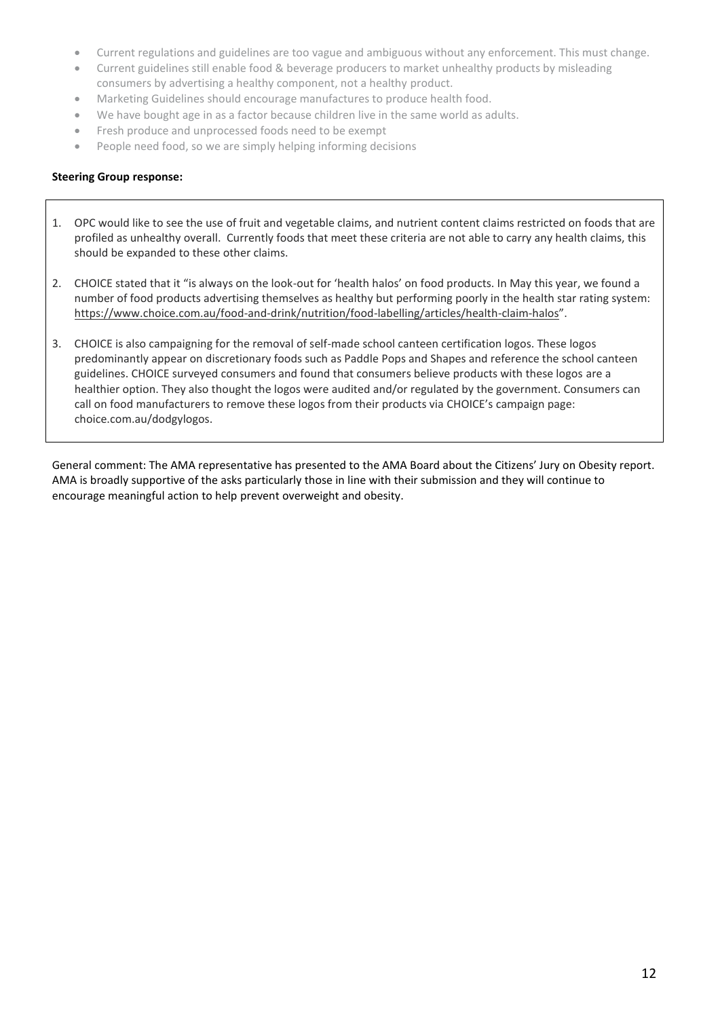- Current regulations and guidelines are too vague and ambiguous without any enforcement. This must change.
- Current guidelines still enable food & beverage producers to market unhealthy products by misleading consumers by advertising a healthy component, not a healthy product.
- Marketing Guidelines should encourage manufactures to produce health food.
- We have bought age in as a factor because children live in the same world as adults.
- Fresh produce and unprocessed foods need to be exempt
- People need food, so we are simply helping informing decisions

#### **Steering Group response:**

- 1. OPC would like to see the use of fruit and vegetable claims, and nutrient content claims restricted on foods that are profiled as unhealthy overall. Currently foods that meet these criteria are not able to carry any health claims, this should be expanded to these other claims.
- 2. CHOICE stated that it "is always on the look-out for 'health halos' on food products. In May this year, we found a number of food products advertising themselves as healthy but performing poorly in the health star rating system: https://www.choice.com.au/food-and-drink/nutrition/food-labelling/articles/health-claim-halos".
- 3. CHOICE is also campaigning for the removal of self-made school canteen certification logos. These logos predominantly appear on discretionary foods such as Paddle Pops and Shapes and reference the school canteen guidelines. CHOICE surveyed consumers and found that consumers believe products with these logos are a healthier option. They also thought the logos were audited and/or regulated by the government. Consumers can call on food manufacturers to remove these logos from their products via CHOICE's campaign page: choice.com.au/dodgylogos.

General comment: The AMA representative has presented to the AMA Board about the Citizens' Jury on Obesity report. AMA is broadly supportive of the asks particularly those in line with their submission and they will continue to encourage meaningful action to help prevent overweight and obesity.